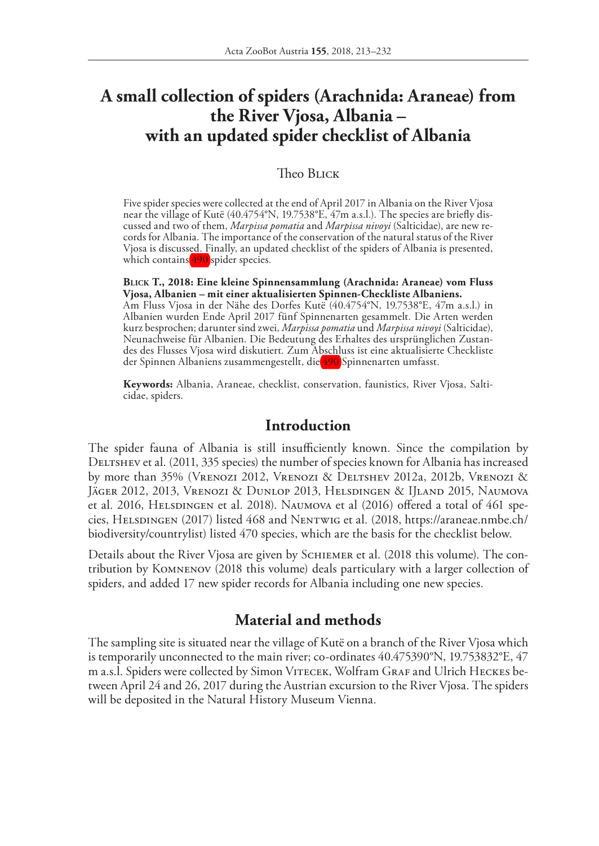# **A small collection of spiders (Arachnida: Araneae) from the River Vjosa, Albania – with an updated spider checklist of Albania**

#### Theo BLICK

Five spider species were collected at the end of April 2017 in Albania on the River Vjosa near the village of Kutë (40.4754°N, 19.7538°E, 47m a.s.l.). The species are briefly discussed and two of them, *Marpissa pomatia* and *Marpissa nivoyi* (Salticidae), are new records for Albania. The importance of the conservation of the natural status of the River Vjosa is discussed. Finally, an updated checklist of the spiders of Albania is presented, which contains  $490$  spider species.

**Blick T., 2018: Eine kleine Spinnensammlung (Arachnida: Araneae) vom Fluss Vjosa, Albanien – mit einer aktualisierten Spinnen-Checkliste Albaniens.** Am Fluss Vjosa in der Nähe des Dorfes Kutë (40.4754°N, 19.7538°E, 47m a.s.l.) in Albanien wurden Ende April 2017 fünf Spinnenarten gesammelt. Die Arten werden kurz besprochen; darunter sind zwei, *Marpissa pomatia* und *Marpissa nivoyi* (Salticidae), Neunachweise für Albanien. Die Bedeutung des Erhaltes des ursprünglichen Zustandes des Flusses Vjosa wird diskutiert. Zum Abschluss ist eine aktualisierte Checkliste der Spinnen Albaniens zusammengestellt, die 490 Spinnenarten umfasst.

**Keywords:** Albania, Araneae, checklist, conservation, faunistics, River Vjosa, Salticidae, spiders.

## **Introduction**

The spider fauna of Albania is still insufficiently known. Since the compilation by DELTSHEV et al. (2011, 335 species) the number of species known for Albania has increased by more than 35% (Vrenozi 2012, Vrenozi & Deltshev 2012a, 2012b, Vrenozi & Jäger 2012, 2013, Vrenozi & Dunlop 2013, Helsdingen & IJland 2015, Naumova et al. 2016, HELSDINGEN et al. 2018). NAUMOVA et al (2016) offered a total of 461 species, Helsdingen (2017) listed 468 and Nentwig et al. (2018, https://araneae.nmbe.ch/ biodiversity/countrylist) listed 470 species, which are the basis for the checklist below.

Details about the River Vjosa are given by Schiemer et al. (2018 this volume). The contribution by Komnenov (2018 this volume) deals particulary with a larger collection of spiders, and added 17 new spider records for Albania including one new species.

# **Material and methods**

The sampling site is situated near the village of Kutë on a branch of the River Vjosa which is temporarily unconnected to the main river; co-ordinates 40.475390°N, 19.753832°E, 47 m a.s.l. Spiders were collected by Simon VITECEK, Wolfram GRAF and Ulrich HECKES between April 24 and 26, 2017 during the Austrian excursion to the River Vjosa. The spiders will be deposited in the Natural History Museum Vienna.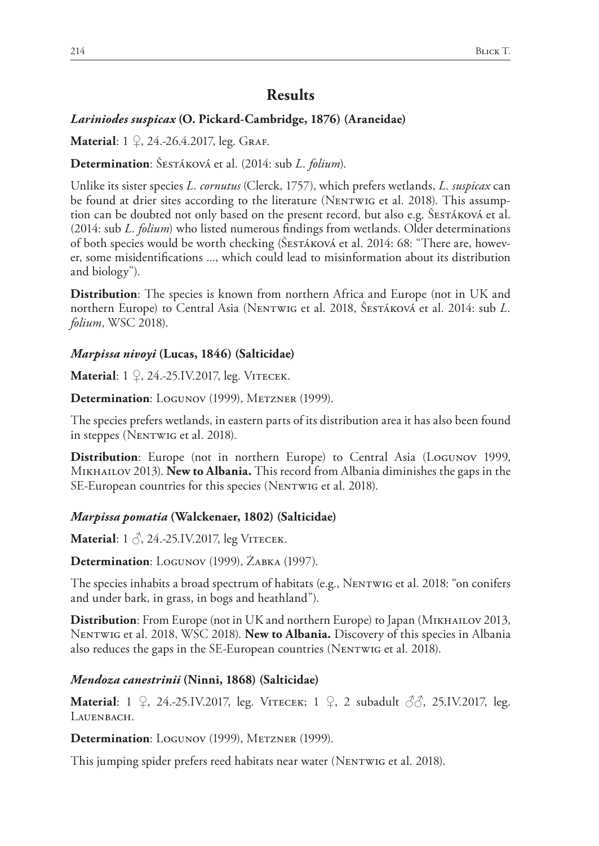# **Results**

#### *Lariniodes suspicax* **(O. Pickard-Cambridge, 1876) (Araneidae)**

**Material**: 1 ♀, 24.-26.4.2017, leg. GRAF.

**Determination**: Šestáková et al. (2014: sub *L. folium*).

Unlike its sister species *L. cornutus* (Clerck, 1757), which prefers wetlands, *L. suspicax* can be found at drier sites according to the literature (NENTWIG et al. 2018). This assumption can be doubted not only based on the present record, but also e.g. SESTÁKOVÁ et al. (2014: sub *L. folium*) who listed numerous findings from wetlands. Older determinations of both species would be worth checking (Šestáková et al. 2014: 68: "There are, however, some misidentifications ..., which could lead to misinformation about its distribution and biology").

**Distribution**: The species is known from northern Africa and Europe (not in UK and northern Europe) to Central Asia (Nentwig et al. 2018, Šestáková et al. 2014: sub *L. folium*, WSC 2018).

#### *Marpissa nivoyi* **(Lucas, 1846) (Salticidae)**

**Material**: 1 ♀, 24.-25.IV.2017, leg. VIТЕСЕК.

Determination: LOGUNOV (1999), METZNER (1999).

The species prefers wetlands, in eastern parts of its distribution area it has also been found in steppes (NENTWIG et al. 2018).

**Distribution**: Europe (not in northern Europe) to Central Asia (Logunov 1999, Mikhailov 2013). **New to Albania.** This record from Albania diminishes the gaps in the SE-European countries for this species (NENTWIG et al. 2018).

#### *Marpissa pomatia* **(Walckenaer, 1802) (Salticidae)**

**Material**: 1 ♂, 24.-25.IV.2017, leg VIТЕСЕК.

Determination: LOGUNOV (1999), ŻABKA (1997).

The species inhabits a broad spectrum of habitats (e.g., Nentwig et al. 2018: "on conifers and under bark, in grass, in bogs and heathland").

**Distribution**: From Europe (not in UK and northern Europe) to Japan (MIKHAILOV 2013, Nentwig et al. 2018, WSC 2018). **New to Albania.** Discovery of this species in Albania also reduces the gaps in the SE-European countries (NENTWIG et al. 2018).

#### *Mendoza canestrinii* **(Ninni, 1868) (Salticidae)**

**Material**: 1 ♀, 24.-25.IV.2017, leg. Vitecek; 1 ♀, 2 subadult ♂♂, 25.IV.2017, leg. LAUENBACH.

Determination: LOGUNOV (1999), METZNER (1999).

This jumping spider prefers reed habitats near water (NENTWIG et al. 2018).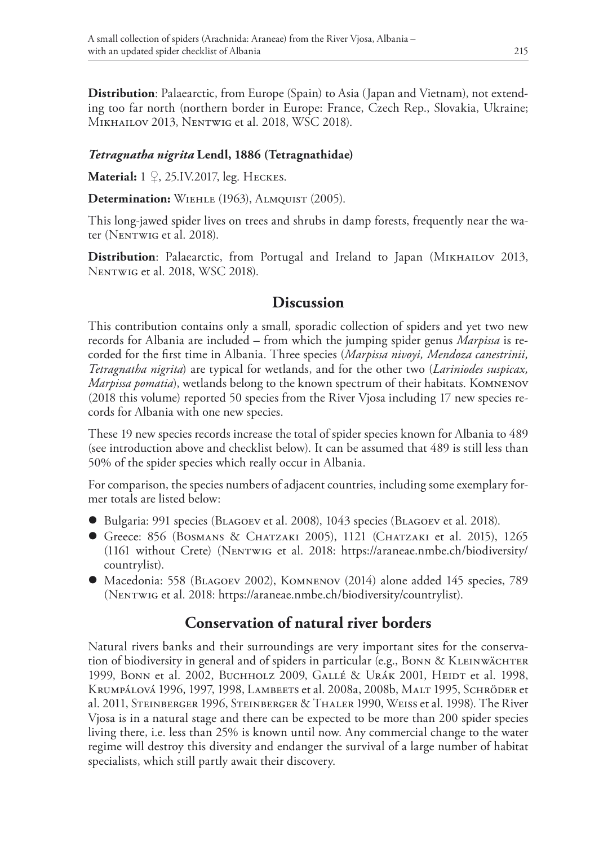**Distribution**: Palaearctic, from Europe (Spain) to Asia (Japan and Vietnam), not extending too far north (northern border in Europe: France, Czech Rep., Slovakia, Ukraine; Mikhailov 2013, Nentwig et al. 2018, WSC 2018).

#### *Tetragnatha nigrita* **Lendl, 1886 (Tetragnathidae)**

**Material:** 1 ♀, 25.IV.2017, leg. Heckes.

**Determination:** Wiehle (1963), Almquist (2005).

This long-jawed spider lives on trees and shrubs in damp forests, frequently near the water (NENTWIG et al. 2018).

**Distribution**: Palaearctic, from Portugal and Ireland to Japan (MIKHAILOV 2013, Nentwig et al. 2018, WSC 2018).

## **Discussion**

This contribution contains only a small, sporadic collection of spiders and yet two new records for Albania are included – from which the jumping spider genus *Marpissa* is recorded for the first time in Albania. Three species (*Marpissa nivoyi, Mendoza canestrinii, Tetragnatha nigrita*) are typical for wetlands, and for the other two (*Lariniodes suspicax, Marpissa pomatia*), wetlands belong to the known spectrum of their habitats. Komnenov (2018 this volume) reported 50 species from the River Vjosa including 17 new species records for Albania with one new species.

These 19 new species records increase the total of spider species known for Albania to 489 (see introduction above and checklist below). It can be assumed that 489 is still less than 50% of the spider species which really occur in Albania.

For comparison, the species numbers of adjacent countries, including some exemplary former totals are listed below:

- l Bulgaria: 991 species (Blagoev et al. 2008), 1043 species (Blagoev et al. 2018).
- $\bullet$  Greece: 856 (BOSMANS & CHATZAKI 2005), 1121 (CHATZAKI et al. 2015), 1265 (1161 without Crete) (Nentwig et al. 2018: https://araneae.nmbe.ch/biodiversity/ countrylist).
- l Macedonia: 558 (Blagoev 2002), Komnenov (2014) alone added 145 species, 789 (Nentwig et al. 2018: https://araneae.nmbe.ch/biodiversity/countrylist).

# **Conservation of natural river borders**

Natural rivers banks and their surroundings are very important sites for the conservation of biodiversity in general and of spiders in particular (e.g., BONN  $\&$  KLEINWÄCHTER 1999, Bonn et al. 2002, Buchholz 2009, GALLÉ & URÁK 2001, HEIDT et al. 1998, Krumpálová 1996, 1997, 1998, Lambeets et al. 2008a, 2008b, Malt 1995, Schröder et al. 2011, Steinberger 1996, Steinberger & Thaler 1990, Weiss et al. 1998). The River Vjosa is in a natural stage and there can be expected to be more than 200 spider species living there, i.e. less than 25% is known until now. Any commercial change to the water regime will destroy this diversity and endanger the survival of a large number of habitat specialists, which still partly await their discovery.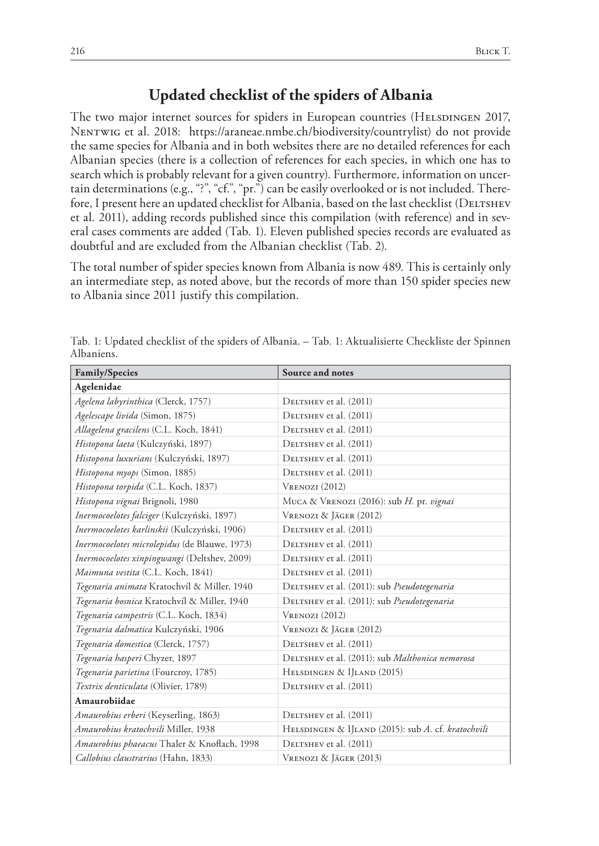## **Updated checklist of the spiders of Albania**

The two major internet sources for spiders in European countries (HELSDINGEN 2017, Nentwig et al. 2018: https://araneae.nmbe.ch/biodiversity/countrylist) do not provide the same species for Albania and in both websites there are no detailed references for each Albanian species (there is a collection of references for each species, in which one has to search which is probably relevant for a given country). Furthermore, information on uncertain determinations (e.g., "?", "cf.", "pr.") can be easily overlooked or is not included. Therefore, I present here an updated checklist for Albania, based on the last checklist (DELTSHEV et al. 2011), adding records published since this compilation (with reference) and in several cases comments are added (Tab. 1). Eleven published species records are evaluated as doubtful and are excluded from the Albanian checklist (Tab. 2).

The total number of spider species known from Albania is now 489. This is certainly only an intermediate step, as noted above, but the records of more than 150 spider species new to Albania since 2011 justify this compilation.

| <b>Family/Species</b>                         | Source and notes                                   |
|-----------------------------------------------|----------------------------------------------------|
| Agelenidae                                    |                                                    |
| Agelena labyrinthica (Clerck, 1757)           | DELTSHEV et al. (2011)                             |
| Agelescape livida (Simon, 1875)               | DELTSHEV et al. (2011)                             |
| Allagelena gracilens (C.L. Koch, 1841)        | DELTSHEV et al. (2011)                             |
| Histopona laeta (Kulczyński, 1897)            | DELTSHEV et al. (2011)                             |
| Histopona luxurians (Kulczyński, 1897)        | DELTSHEV et al. (2011)                             |
| Histopona myops (Simon, 1885)                 | DELTSHEV et al. (2011)                             |
| Histopona torpida (C.L. Koch, 1837)           | VRENOZI (2012)                                     |
| Histopona vignai Brignoli, 1980               | MUCA & VRENOZI (2016): sub H. pr. vignai           |
| Inermocoelotes falciger (Kulczyński, 1897)    | VRENOZI & JÄGER (2012)                             |
| Inermocoelotes karlinskii (Kulczyński, 1906)  | DELTSHEV et al. (2011)                             |
| Inermocoelotes microlepidus (de Blauwe, 1973) | DELTSHEV et al. (2011)                             |
| Inermocoelotes xinpingwangi (Deltshev, 2009)  | DELTSHEV et al. (2011)                             |
| Maimuna vestita (C.L. Koch, 1841)             | DELTSHEV et al. (2011)                             |
| Tegenaria animata Kratochvíl & Miller, 1940   | DELTSHEV et al. (2011): sub Pseudotegenaria        |
| Tegenaria bosnica Kratochvíl & Miller, 1940   | DELTSHEV et al. (2011): sub Pseudotegenaria        |
| Tegenaria campestris (C.L. Koch, 1834)        | VRENOZI (2012)                                     |
| Tegenaria dalmatica Kulczyński, 1906          | VRENOZI & JÄGER (2012)                             |
| Tegenaria domestica (Clerck, 1757)            | DELTSHEV et al. (2011)                             |
| Tegenaria hasperi Chyzer, 1897                | DELTSHEV et al. (2011): sub Malthonica nemorosa    |
| Tegenaria parietina (Fourcroy, 1785)          | HELSDINGEN & IJLAND (2015)                         |
| Textrix denticulata (Olivier, 1789)           | DELTSHEV et al. (2011)                             |
| Amaurobiidae                                  |                                                    |
| Amaurobius erberi (Keyserling, 1863)          | DELTSHEV et al. (2011)                             |
| Amaurobius kratochvili Miller, 1938           | HELSDINGEN & IJLAND (2015): sub A. cf. kratochvili |
| Amaurobius phaeacus Thaler & Knoflach, 1998   | DELTSHEV et al. (2011)                             |
| Callobius claustrarius (Hahn, 1833)           | VRENOZI & JÄGER (2013)                             |

Tab. 1: Updated checklist of the spiders of Albania. – Tab. 1: Aktualisierte Checkliste der Spinnen Albaniens.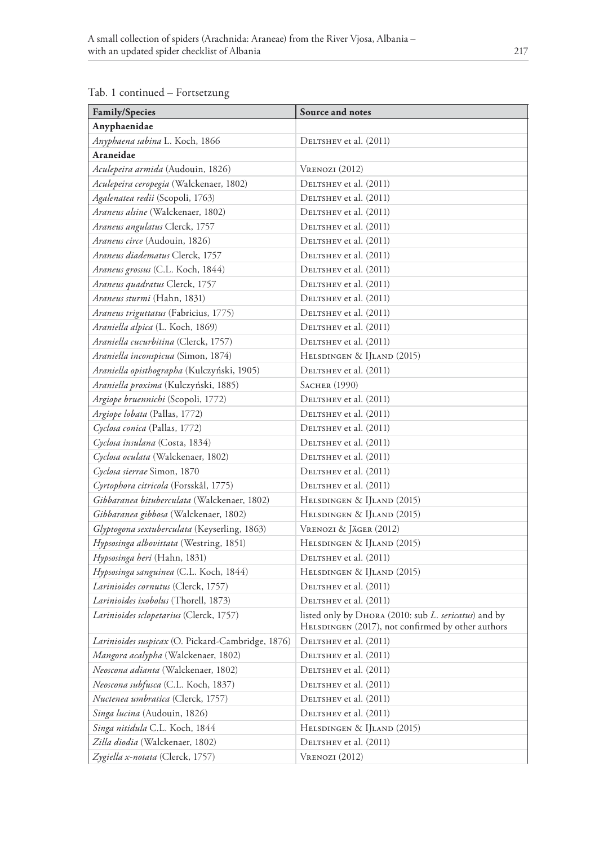| Family/Species                                    | Source and notes                                                                                          |  |
|---------------------------------------------------|-----------------------------------------------------------------------------------------------------------|--|
| Anyphaenidae                                      |                                                                                                           |  |
| Anyphaena sabina L. Koch, 1866                    | DELTSHEV et al. (2011)                                                                                    |  |
| Araneidae                                         |                                                                                                           |  |
| Aculepeira armida (Audouin, 1826)                 | $V$ renozi (2012)                                                                                         |  |
| Aculepeira ceropegia (Walckenaer, 1802)           | DELTSHEV et al. (2011)                                                                                    |  |
| Agalenatea redii (Scopoli, 1763)                  | DELTSHEV et al. (2011)                                                                                    |  |
| Araneus alsine (Walckenaer, 1802)                 | DELTSHEV et al. (2011)                                                                                    |  |
| Araneus angulatus Clerck, 1757                    | DELTSHEV et al. (2011)                                                                                    |  |
| Araneus circe (Audouin, 1826)                     | DELTSHEV et al. (2011)                                                                                    |  |
| Araneus diadematus Clerck, 1757                   | DELTSHEV et al. (2011)                                                                                    |  |
| Araneus grossus (C.L. Koch, 1844)                 | DELTSHEV et al. (2011)                                                                                    |  |
| Araneus quadratus Clerck, 1757                    | DELTSHEV et al. (2011)                                                                                    |  |
| <i>Araneus sturmi</i> (Hahn, 1831)                | DELTSHEV et al. (2011)                                                                                    |  |
| Araneus triguttatus (Fabricius, 1775)             | DELTSHEV et al. (2011)                                                                                    |  |
| Araniella alpica (L. Koch, 1869)                  | DELTSHEV et al. (2011)                                                                                    |  |
| Araniella cucurbitina (Clerck, 1757)              | DELTSHEV et al. (2011)                                                                                    |  |
| Araniella inconspicua (Simon, 1874)               | HELSDINGEN & IJLAND (2015)                                                                                |  |
| Araniella opisthographa (Kulczyński, 1905)        | DELTSHEV et al. (2011)                                                                                    |  |
| Araniella proxima (Kulczyński, 1885)              | SACHER (1990)                                                                                             |  |
| Argiope bruennichi (Scopoli, 1772)                | DELTSHEV et al. (2011)                                                                                    |  |
| Argiope lobata (Pallas, 1772)                     | DELTSHEV et al. (2011)                                                                                    |  |
| Cyclosa conica (Pallas, 1772)                     | DELTSHEV et al. (2011)                                                                                    |  |
| Cyclosa insulana (Costa, 1834)                    | DELTSHEV et al. (2011)                                                                                    |  |
| Cyclosa oculata (Walckenaer, 1802)                | DELTSHEV et al. (2011)                                                                                    |  |
| Cyclosa sierrae Simon, 1870                       | DELTSHEV et al. (2011)                                                                                    |  |
| Cyrtophora citricola (Forsskål, 1775)             | DELTSHEV et al. (2011)                                                                                    |  |
| Gibbaranea bituberculata (Walckenaer, 1802)       | HELSDINGEN & IJLAND (2015)                                                                                |  |
| Gibbaranea gibbosa (Walckenaer, 1802)             | HELSDINGEN & IJLAND (2015)                                                                                |  |
| Glyptogona sextuberculata (Keyserling, 1863)      | Vrenozi & Jäger (2012)                                                                                    |  |
| Hypsosinga albovittata (Westring, 1851)           | HELSDINGEN & IJLAND (2015)                                                                                |  |
| Hypsosinga heri (Hahn, 1831)                      | DELTSHEV et al. (2011)                                                                                    |  |
| Hypsosinga sanguinea (C.L. Koch, 1844)            | HELSDINGEN & IJLAND (2015)                                                                                |  |
| Larinioides cornutus (Clerck, 1757)               | DELTSHEV et al. (2011)                                                                                    |  |
| Larinioides ixobolus (Thorell, 1873)              | DELTSHEV et al. (2011)                                                                                    |  |
| Larinioides sclopetarius (Clerck, 1757)           | listed only by DHORA (2010: sub L. sericatus) and by<br>HELSDINGEN (2017), not confirmed by other authors |  |
| Larinioides suspicax (O. Pickard-Cambridge, 1876) | DELTSHEV et al. (2011)                                                                                    |  |
| Mangora acalypha (Walckenaer, 1802)               | DELTSHEV et al. (2011)                                                                                    |  |
| Neoscona adianta (Walckenaer, 1802)               | DELTSHEV et al. (2011)                                                                                    |  |
| Neoscona subfusca (C.L. Koch, 1837)               | DELTSHEV et al. (2011)                                                                                    |  |
| Nuctenea umbratica (Clerck, 1757)                 | DELTSHEV et al. (2011)                                                                                    |  |
| Singa lucina (Audouin, 1826)                      | DELTSHEV et al. (2011)                                                                                    |  |
| Singa nitidula C.L. Koch, 1844                    | HELSDINGEN & IJLAND (2015)                                                                                |  |
| Zilla diodia (Walckenaer, 1802)                   | DELTSHEV et al. (2011)                                                                                    |  |
| Zygiella x-notata (Clerck, 1757)                  | $V$ renozi (2012)                                                                                         |  |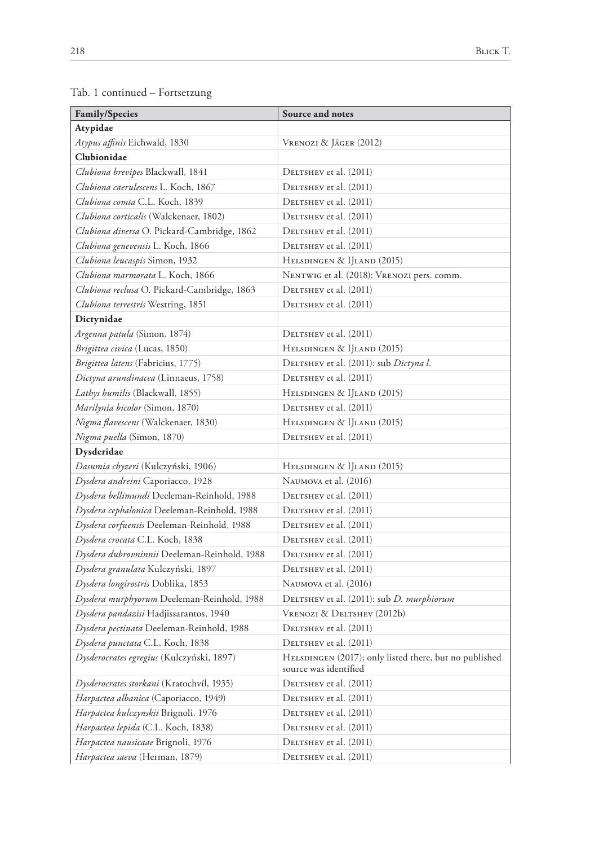| Family/Species                               | Source and notes                                                                |  |
|----------------------------------------------|---------------------------------------------------------------------------------|--|
| Atypidae                                     |                                                                                 |  |
| Atypus affinis Eichwald, 1830                | Vrenozi & Jäger (2012)                                                          |  |
| Clubionidae                                  |                                                                                 |  |
| Clubiona brevipes Blackwall, 1841            | DELTSHEV et al. (2011)                                                          |  |
| Clubiona caerulescens L. Koch, 1867          | DELTSHEV et al. (2011)                                                          |  |
| Clubiona comta C.L. Koch, 1839               | DELTSHEV et al. (2011)                                                          |  |
| Clubiona corticalis (Walckenaer, 1802)       | DELTSHEV et al. (2011)                                                          |  |
| Clubiona diversa O. Pickard-Cambridge, 1862  | DELTSHEV et al. (2011)                                                          |  |
| Clubiona genevensis L. Koch, 1866            | DELTSHEV et al. (2011)                                                          |  |
| Clubiona leucaspis Simon, 1932               | HELSDINGEN & IJLAND (2015)                                                      |  |
| Clubiona marmorata L. Koch, 1866             | NENTWIG et al. (2018): VRENOZI pers. comm.                                      |  |
| Clubiona reclusa O. Pickard-Cambridge, 1863  | DELTSHEV et al. (2011)                                                          |  |
| Clubiona terrestris Westring, 1851           | DELTSHEV et al. (2011)                                                          |  |
| Dictynidae                                   |                                                                                 |  |
| Argenna patula (Simon, 1874)                 | DELTSHEV et al. (2011)                                                          |  |
| Brigittea civica (Lucas, 1850)               | HELSDINGEN & IJLAND (2015)                                                      |  |
| Brigittea latens (Fabricius, 1775)           | DELTSHEV et al. (2011): sub Dictyna l.                                          |  |
| Dictyna arundinacea (Linnaeus, 1758)         | DELTSHEV et al. (2011)                                                          |  |
| Lathys humilis (Blackwall, 1855)             | HELSDINGEN & IJLAND (2015)                                                      |  |
| Marilynia bicolor (Simon, 1870)              | DELTSHEV et al. (2011)                                                          |  |
| Nigma flavescens (Walckenaer, 1830)          | HELSDINGEN & IJLAND (2015)                                                      |  |
| Nigma puella (Simon, 1870)                   | DELTSHEV et al. (2011)                                                          |  |
| Dysderidae                                   |                                                                                 |  |
| Dasumia chyzeri (Kulczyński, 1906)           | HELSDINGEN & IJLAND (2015)                                                      |  |
| Dysdera andreini Caporiacco, 1928            | NAUMOVA et al. (2016)                                                           |  |
| Dysdera bellimundi Deeleman-Reinhold, 1988   | DELTSHEV et al. (2011)                                                          |  |
| Dysdera cephalonica Deeleman-Reinhold, 1988  | DELTSHEV et al. (2011)                                                          |  |
| Dysdera corfuensis Deeleman-Reinhold, 1988   | DELTSHEV et al. (2011)                                                          |  |
| Dysdera crocata C.L. Koch, 1838              | DELTSHEV et al. (2011)                                                          |  |
| Dysdera dubrovninnii Deeleman-Reinhold, 1988 | DELTSHEV et al. (2011)                                                          |  |
| Dysdera granulata Kulczyński, 1897           | DELTSHEV et al. (2011)                                                          |  |
| Dysdera longirostris Doblika, 1853           | NAUMOVA et al. (2016)                                                           |  |
| Dysdera murphyorum Deeleman-Reinhold, 1988   | DELTSHEV et al. (2011): sub D. murphiorum                                       |  |
| Dysdera pandazisi Hadjissarantos, 1940       | VRENOZI & DELTSHEV (2012b)                                                      |  |
| Dysdera pectinata Deeleman-Reinhold, 1988    | DELTSHEV et al. (2011)                                                          |  |
| Dysdera punctata C.L. Koch, 1838             | DELTSHEV et al. (2011)                                                          |  |
| Dysderocrates egregius (Kulczyński, 1897)    | HELSDINGEN (2017); only listed there, but no published<br>source was identified |  |
| Dysderocrates storkani (Kratochvíl, 1935)    | DELTSHEV et al. (2011)                                                          |  |
| Harpactea albanica (Caporiacco, 1949)        | DELTSHEV et al. (2011)                                                          |  |
| Harpactea kulczynskii Brignoli, 1976         | DELTSHEV et al. (2011)                                                          |  |
| Harpactea lepida (C.L. Koch, 1838)           | DELTSHEV et al. (2011)                                                          |  |
| Harpactea nausicaae Brignoli, 1976           | DELTSHEV et al. (2011)                                                          |  |
| Harpactea saeva (Herman, 1879)               | DELTSHEV et al. (2011)                                                          |  |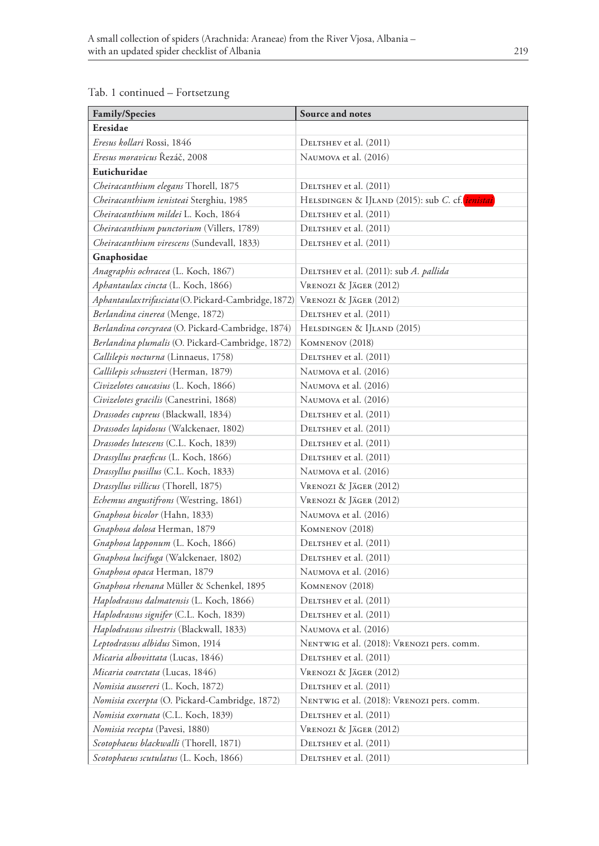| <b>Family/Species</b>                                | Source and notes                                       |  |  |
|------------------------------------------------------|--------------------------------------------------------|--|--|
| Eresidae                                             |                                                        |  |  |
| Eresus kollari Rossi, 1846                           | DELTSHEV et al. (2011)                                 |  |  |
| <i>Eresus moravicus</i> Řezáč, 2008                  | NAUMOVA et al. (2016)                                  |  |  |
| Eutichuridae                                         |                                                        |  |  |
| Cheiracanthium elegans Thorell, 1875                 | DELTSHEV et al. (2011)                                 |  |  |
| Cheiracanthium ienisteai Sterghiu, 1985              | HELSDINGEN & IJLAND (2015): sub C. cf. <i>ienistai</i> |  |  |
| Cheiracanthium mildei L. Koch, 1864                  | DELTSHEV et al. (2011)                                 |  |  |
| Cheiracanthium punctorium (Villers, 1789)            | DELTSHEV et al. (2011)                                 |  |  |
| Cheiracanthium virescens (Sundevall, 1833)           | DELTSHEV et al. (2011)                                 |  |  |
| Gnaphosidae                                          |                                                        |  |  |
| Anagraphis ochracea (L. Koch, 1867)                  | DELTSHEV et al. (2011): sub A. pallida                 |  |  |
| Aphantaulax cincta (L. Koch, 1866)                   | VRENOZI & JÄGER (2012)                                 |  |  |
| Aphantaulax trifasciata (O. Pickard-Cambridge, 1872) | VRENOZI & JÄGER (2012)                                 |  |  |
| Berlandina cinerea (Menge, 1872)                     | DELTSHEV et al. (2011)                                 |  |  |
| Berlandina corcyraea (O. Pickard-Cambridge, 1874)    | HELSDINGEN & IJLAND (2015)                             |  |  |
| Berlandina plumalis (O. Pickard-Cambridge, 1872)     | KOMNENOV (2018)                                        |  |  |
| Callilepis nocturna (Linnaeus, 1758)                 | DELTSHEV et al. (2011)                                 |  |  |
| Callilepis schuszteri (Herman, 1879)                 | NAUMOVA et al. (2016)                                  |  |  |
| Civizelotes caucasius (L. Koch, 1866)                | NAUMOVA et al. (2016)                                  |  |  |
| Civizelotes gracilis (Canestrini, 1868)              | NAUMOVA et al. (2016)                                  |  |  |
| Drassodes cupreus (Blackwall, 1834)                  | DELTSHEV et al. (2011)                                 |  |  |
| Drassodes lapidosus (Walckenaer, 1802)               | DELTSHEV et al. (2011)                                 |  |  |
| <i>Drassodes lutescens (C.L. Koch, 1839)</i>         | DELTSHEV et al. (2011)                                 |  |  |
| Drassyllus praeficus (L. Koch, 1866)                 | DELTSHEV et al. (2011)                                 |  |  |
| Drassyllus pusillus (C.L. Koch, 1833)                | NAUMOVA et al. (2016)                                  |  |  |
| <i>Drassyllus villicus</i> (Thorell, 1875)           | VRENOZI & JÄGER (2012)                                 |  |  |
| Echemus angustifrons (Westring, 1861)                | Vrenozi & Jäger (2012)                                 |  |  |
| Gnaphosa bicolor (Hahn, 1833)                        | NAUMOVA et al. (2016)                                  |  |  |
| Gnaphosa dolosa Herman, 1879                         | KOMNENOV (2018)                                        |  |  |
| Gnaphosa lapponum (L. Koch, 1866)                    | DELTSHEV et al. (2011)                                 |  |  |
| Gnaphosa lucifuga (Walckenaer, 1802)                 | DELTSHEV et al. (2011)                                 |  |  |
| Gnaphosa opaca Herman, 1879                          | NAUMOVA et al. (2016)                                  |  |  |
| Gnaphosa rhenana Müller & Schenkel, 1895             | KOMNENOV (2018)                                        |  |  |
| Haplodrassus dalmatensis (L. Koch, 1866)             | DELTSHEV et al. (2011)                                 |  |  |
| Haplodrassus signifer (C.L. Koch, 1839)              | DELTSHEV et al. (2011)                                 |  |  |
| Haplodrassus silvestris (Blackwall, 1833)            | NAUMOVA et al. (2016)                                  |  |  |
| Leptodrassus albidus Simon, 1914                     | NENTWIG et al. (2018): VRENOZI pers. comm.             |  |  |
| Micaria albovittata (Lucas, 1846)                    | DELTSHEV et al. (2011)                                 |  |  |
| <i>Micaria coarctata</i> (Lucas, 1846)               | VRENOZI & JÄGER (2012)                                 |  |  |
| Nomisia aussereri (L. Koch, 1872)                    | DELTSHEV et al. (2011)                                 |  |  |
| Nomisia excerpta (O. Pickard-Cambridge, 1872)        | NENTWIG et al. (2018): VRENOZI pers. comm.             |  |  |
| Nomisia exornata (C.L. Koch, 1839)                   | DELTSHEV et al. (2011)                                 |  |  |
| Nomisia recepta (Pavesi, 1880)                       | VRENOZI & JÄGER (2012)                                 |  |  |
| Scotophaeus blackwalli (Thorell, 1871)               | DELTSHEV et al. (2011)                                 |  |  |
| Scotophaeus scutulatus (L. Koch, 1866)               | DELTSHEV et al. (2011)                                 |  |  |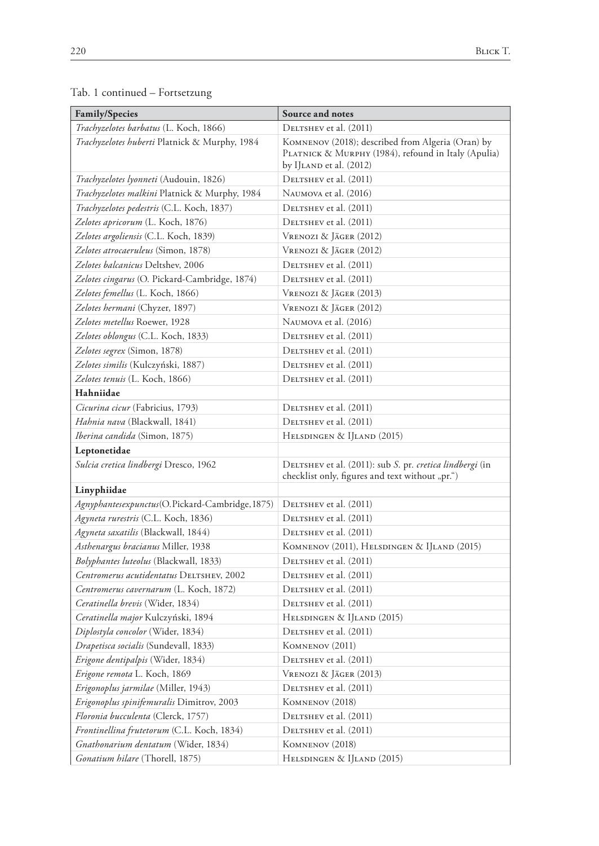| <b>Family/Species</b>                            | Source and notes                                                                                                                    |  |
|--------------------------------------------------|-------------------------------------------------------------------------------------------------------------------------------------|--|
| Trachyzelotes barbatus (L. Koch, 1866)           | DELTSHEV et al. (2011)                                                                                                              |  |
| Trachyzelotes huberti Platnick & Murphy, 1984    | KOMNENOV (2018); described from Algeria (Oran) by<br>PLATNICK & MURPHY (1984), refound in Italy (Apulia)<br>by IJLAND et al. (2012) |  |
| Trachyzelotes lyonneti (Audouin, 1826)           | DELTSHEV et al. (2011)                                                                                                              |  |
| Trachyzelotes malkini Platnick & Murphy, 1984    | NAUMOVA et al. (2016)                                                                                                               |  |
| Trachyzelotes pedestris (C.L. Koch, 1837)        | DELTSHEV et al. (2011)                                                                                                              |  |
| Zelotes apricorum (L. Koch, 1876)                | DELTSHEV et al. (2011)                                                                                                              |  |
| Zelotes argoliensis (C.L. Koch, 1839)            | VRENOZI & JÄGER (2012)                                                                                                              |  |
| Zelotes atrocaeruleus (Simon, 1878)              | VRENOZI & JÄGER (2012)                                                                                                              |  |
| Zelotes balcanicus Deltshev, 2006                | DELTSHEV et al. (2011)                                                                                                              |  |
| Zelotes cingarus (O. Pickard-Cambridge, 1874)    | DELTSHEV et al. (2011)                                                                                                              |  |
| Zelotes femellus (L. Koch, 1866)                 | VRENOZI & JÄGER (2013)                                                                                                              |  |
| Zelotes hermani (Chyzer, 1897)                   | Vrenozi & Jäger (2012)                                                                                                              |  |
| Zelotes metellus Roewer, 1928                    | NAUMOVA et al. (2016)                                                                                                               |  |
| Zelotes oblongus (C.L. Koch, 1833)               | DELTSHEV et al. (2011)                                                                                                              |  |
| Zelotes segrex (Simon, 1878)                     | DELTSHEV et al. (2011)                                                                                                              |  |
| <i>Zelotes similis</i> (Kulczyński, 1887)        | DELTSHEV et al. (2011)                                                                                                              |  |
| <i>Zelotes tenuis</i> (L. Koch, 1866)            | DELTSHEV et al. (2011)                                                                                                              |  |
| Hahniidae                                        |                                                                                                                                     |  |
| Cicurina cicur (Fabricius, 1793)                 | DELTSHEV et al. (2011)                                                                                                              |  |
| Hahnia nava (Blackwall, 1841)                    | DELTSHEV et al. (2011)                                                                                                              |  |
| Iberina candida (Simon, 1875)                    | HELSDINGEN & IJLAND (2015)                                                                                                          |  |
| Leptonetidae                                     |                                                                                                                                     |  |
| Sulcia cretica lindbergi Dresco, 1962            | DELTSHEV et al. (2011): sub S. pr. cretica lindbergi (in<br>checklist only, figures and text without "pr.")                         |  |
| Linyphiidae                                      |                                                                                                                                     |  |
| Agnyphantesexpunctus(O.Pickard-Cambridge, 1875)  | DELTSHEV et al. (2011)                                                                                                              |  |
| Agyneta rurestris (C.L. Koch, 1836)              | DELTSHEV et al. (2011)                                                                                                              |  |
| Agyneta saxatilis (Blackwall, 1844)              | DELTSHEV et al. (2011)                                                                                                              |  |
| Asthenargus bracianus Miller, 1938               | KOMNENOV (2011), HELSDINGEN & IJLAND (2015)                                                                                         |  |
| Bolyphantes luteolus (Blackwall, 1833)           | DELTSHEV et al. (2011)                                                                                                              |  |
| Centromerus acutidentatus DELTSHEV, 2002         | DELTSHEV et al. (2011)                                                                                                              |  |
| Centromerus cavernarum (L. Koch, 1872)           | DELTSHEV et al. (2011)                                                                                                              |  |
| Ceratinella brevis (Wider, 1834)                 | DELTSHEV et al. (2011)                                                                                                              |  |
| Ceratinella major Kulczyński, 1894               | HELSDINGEN & IJLAND (2015)                                                                                                          |  |
| Diplostyla concolor (Wider, 1834)                | DELTSHEV et al. (2011)                                                                                                              |  |
| Drapetisca socialis (Sundevall, 1833)            | KOMNENOV (2011)                                                                                                                     |  |
| Erigone dentipalpis (Wider, 1834)                | DELTSHEV et al. (2011)                                                                                                              |  |
| Erigone remota L. Koch, 1869                     | Vrenozi & Jäger (2013)                                                                                                              |  |
| <i>Erigonoplus jarmilae</i> (Miller, 1943)       | DELTSHEV et al. (2011)                                                                                                              |  |
| <i>Erigonoplus spinifemuralis</i> Dimitrov, 2003 | KOMNENOV (2018)                                                                                                                     |  |
| Floronia bucculenta (Clerck, 1757)               | DELTSHEV et al. (2011)                                                                                                              |  |
| Frontinellina frutetorum (C.L. Koch, 1834)       | DELTSHEV et al. (2011)                                                                                                              |  |
| Gnathonarium dentatum (Wider, 1834)              | KOMNENOV (2018)                                                                                                                     |  |
| <i>Gonatium hilare</i> (Thorell, 1875)           | HELSDINGEN & IJLAND (2015)                                                                                                          |  |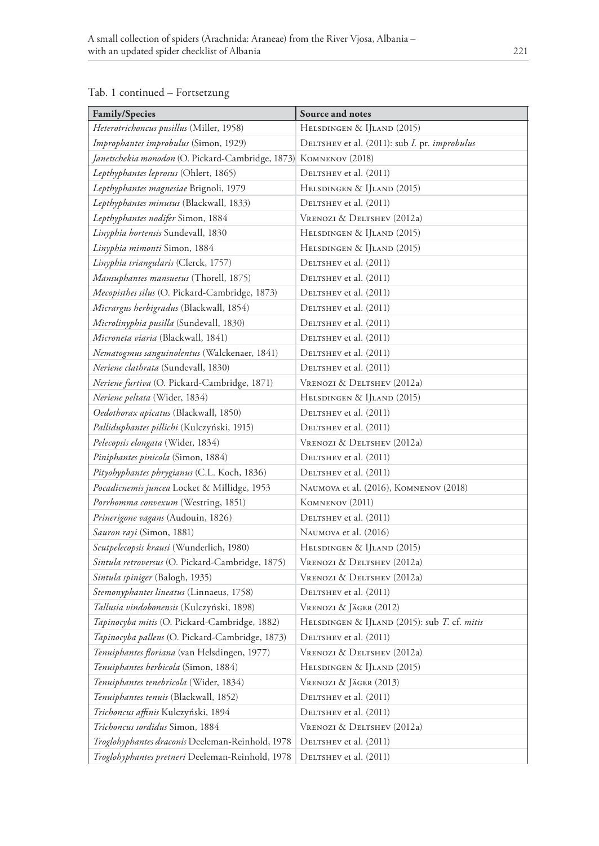| <b>Family/Species</b>                                             | Source and notes                                             |  |
|-------------------------------------------------------------------|--------------------------------------------------------------|--|
| Heterotrichoncus pusillus (Miller, 1958)                          | HELSDINGEN & IJLAND (2015)                                   |  |
| Improphantes improbulus (Simon, 1929)                             | DELTSHEV et al. (2011): sub <i>I</i> . pr. <i>improbulus</i> |  |
| Janetschekia monodon (O. Pickard-Cambridge, 1873) KOMNENOV (2018) |                                                              |  |
| Lepthyphantes leprosus (Ohlert, 1865)                             | DELTSHEV et al. (2011)                                       |  |
| Lepthyphantes magnesiae Brignoli, 1979                            | HELSDINGEN & IJLAND (2015)                                   |  |
| Lepthyphantes minutus (Blackwall, 1833)                           | DELTSHEV et al. (2011)                                       |  |
| Lepthyphantes nodifer Simon, 1884                                 | VRENOZI & DELTSHEV (2012a)                                   |  |
| Linyphia hortensis Sundevall, 1830                                | HELSDINGEN & IJLAND (2015)                                   |  |
| Linyphia mimonti Simon, 1884                                      | HELSDINGEN & IJLAND (2015)                                   |  |
| Linyphia triangularis (Clerck, 1757)                              | DELTSHEV et al. (2011)                                       |  |
| Mansuphantes mansuetus (Thorell, 1875)                            | DELTSHEV et al. (2011)                                       |  |
| Mecopisthes silus (O. Pickard-Cambridge, 1873)                    | DELTSHEV et al. (2011)                                       |  |
| Micrargus herbigradus (Blackwall, 1854)                           | DELTSHEV et al. (2011)                                       |  |
| Microlinyphia pusilla (Sundevall, 1830)                           | DELTSHEV et al. (2011)                                       |  |
| Microneta viaria (Blackwall, 1841)                                | DELTSHEV et al. (2011)                                       |  |
| Nematogmus sanguinolentus (Walckenaer, 1841)                      | DELTSHEV et al. (2011)                                       |  |
| Neriene clathrata (Sundevall, 1830)                               | DELTSHEV et al. (2011)                                       |  |
| Neriene furtiva (O. Pickard-Cambridge, 1871)                      | VRENOZI & DELTSHEV (2012a)                                   |  |
| Neriene peltata (Wider, 1834)                                     | HELSDINGEN & IJLAND (2015)                                   |  |
| Oedothorax apicatus (Blackwall, 1850)                             | DELTSHEV et al. (2011)                                       |  |
| Palliduphantes pillichi (Kulczyński, 1915)                        | DELTSHEV et al. (2011)                                       |  |
| Pelecopsis elongata (Wider, 1834)                                 | VRENOZI & DELTSHEV (2012a)                                   |  |
| Piniphantes pinicola (Simon, 1884)                                | DELTSHEV et al. (2011)                                       |  |
| Pityohyphantes phrygianus (C.L. Koch, 1836)                       | DELTSHEV et al. (2011)                                       |  |
| Pocadicnemis juncea Locket & Millidge, 1953                       | NAUMOVA et al. (2016), KOMNENOV (2018)                       |  |
| Porrhomma convexum (Westring, 1851)                               | KOMNENOV (2011)                                              |  |
| Prinerigone vagans (Audouin, 1826)                                | DELTSHEV et al. (2011)                                       |  |
| Sauron rayi (Simon, 1881)                                         | NAUMOVA et al. (2016)                                        |  |
| Scutpelecopsis krausi (Wunderlich, 1980)                          | HELSDINGEN & IJLAND (2015)                                   |  |
| Sintula retroversus (O. Pickard-Cambridge, 1875)                  | VRENOZI & DELTSHEV (2012a)                                   |  |
| Sintula spiniger (Balogh, 1935)                                   | VRENOZI & DELTSHEV (2012a)                                   |  |
| Stemonyphantes lineatus (Linnaeus, 1758)                          | DELTSHEV et al. (2011)                                       |  |
| Tallusia vindobonensis (Kulczyński, 1898)                         | VRENOZI & JÄGER (2012)                                       |  |
| Tapinocyba mitis (O. Pickard-Cambridge, 1882)                     | HELSDINGEN & IJLAND (2015): sub T. cf. mitis                 |  |
| Tapinocyba pallens (O. Pickard-Cambridge, 1873)                   | DELTSHEV et al. (2011)                                       |  |
| Tenuiphantes floriana (van Helsdingen, 1977)                      | VRENOZI & DELTSHEV (2012a)                                   |  |
| Tenuiphantes herbicola (Simon, 1884)                              | HELSDINGEN & IJLAND (2015)                                   |  |
| Tenuiphantes tenebricola (Wider, 1834)                            | VRENOZI & JÄGER (2013)                                       |  |
| Tenuiphantes tenuis (Blackwall, 1852)                             | DELTSHEV et al. (2011)                                       |  |
| Trichoncus affinis Kulczyński, 1894                               | DELTSHEV et al. (2011)                                       |  |
| Trichoncus sordidus Simon, 1884                                   | VRENOZI & DELTSHEV (2012a)                                   |  |
| Troglohyphantes draconis Deeleman-Reinhold, 1978                  | DELTSHEV et al. (2011)                                       |  |
| Troglohyphantes pretneri Deeleman-Reinhold, 1978                  | DELTSHEV et al. (2011)                                       |  |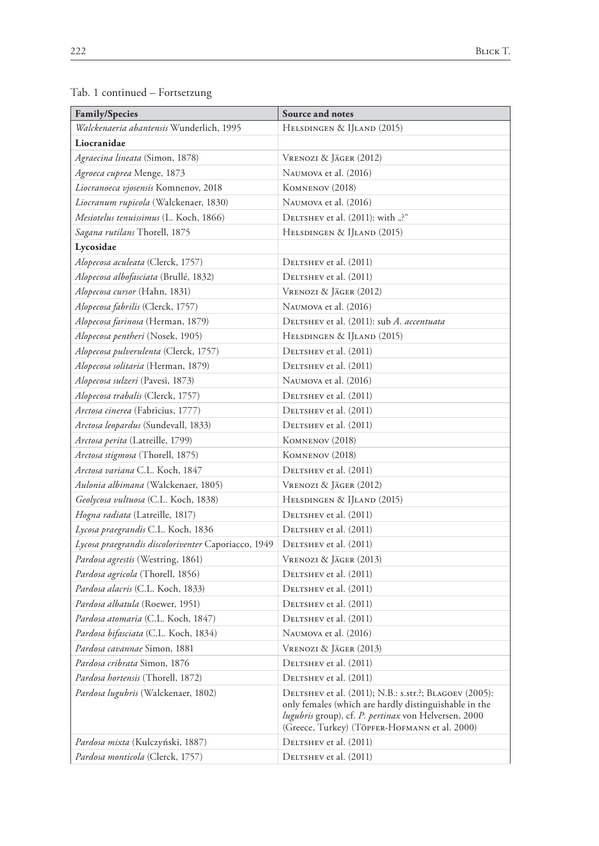|  |  |  |  | Tab. 1 continued – Fortsetzung |
|--|--|--|--|--------------------------------|
|--|--|--|--|--------------------------------|

| Family/Species                                              | Source and notes                                                                                                                                                                                                         |  |  |
|-------------------------------------------------------------|--------------------------------------------------------------------------------------------------------------------------------------------------------------------------------------------------------------------------|--|--|
| Walckenaeria abantensis Wunderlich, 1995                    | HELSDINGEN & IJLAND (2015)                                                                                                                                                                                               |  |  |
| Liocranidae                                                 |                                                                                                                                                                                                                          |  |  |
| Agraecina lineata (Simon, 1878)                             | Vrenozi & Jäger (2012)                                                                                                                                                                                                   |  |  |
| Agroeca cuprea Menge, 1873                                  | NAUMOVA et al. (2016)                                                                                                                                                                                                    |  |  |
| Liocranoeca vjosensis Komnenov, 2018                        | KOMNENOV (2018)                                                                                                                                                                                                          |  |  |
| Liocranum rupicola (Walckenaer, 1830)                       | NAUMOVA et al. (2016)                                                                                                                                                                                                    |  |  |
| Mesiotelus tenuissimus (L. Koch, 1866)                      | DELTSHEV et al. (2011): with "?"                                                                                                                                                                                         |  |  |
| Sagana rutilans Thorell, 1875                               | HELSDINGEN & IJLAND (2015)                                                                                                                                                                                               |  |  |
| Lycosidae                                                   |                                                                                                                                                                                                                          |  |  |
| Alopecosa aculeata (Clerck, 1757)                           | DELTSHEV et al. (2011)                                                                                                                                                                                                   |  |  |
| Alopecosa albofasciata (Brullé, 1832)                       | DELTSHEV et al. (2011)                                                                                                                                                                                                   |  |  |
| Alopecosa cursor (Hahn, 1831)                               | VRENOZI & JÄGER (2012)                                                                                                                                                                                                   |  |  |
| Alopecosa fabrilis (Clerck, 1757)                           | NAUMOVA et al. (2016)                                                                                                                                                                                                    |  |  |
| Alopecosa farinosa (Herman, 1879)                           | DELTSHEV et al. (2011): sub A. accentuata                                                                                                                                                                                |  |  |
| Alopecosa pentheri (Nosek, 1905)                            | HELSDINGEN & IJLAND (2015)                                                                                                                                                                                               |  |  |
| Alopecosa pulverulenta (Clerck, 1757)                       | DELTSHEV et al. (2011)                                                                                                                                                                                                   |  |  |
| Alopecosa solitaria (Herman, 1879)                          | DELTSHEV et al. (2011)                                                                                                                                                                                                   |  |  |
| Alopecosa sulzeri (Pavesi, 1873)                            | NAUMOVA et al. (2016)                                                                                                                                                                                                    |  |  |
| Alopecosa trabalis (Clerck, 1757)<br>DELTSHEV et al. (2011) |                                                                                                                                                                                                                          |  |  |
| Arctosa cinerea (Fabricius, 1777)                           | DELTSHEV et al. (2011)                                                                                                                                                                                                   |  |  |
| Arctosa leopardus (Sundevall, 1833)                         | DELTSHEV et al. (2011)                                                                                                                                                                                                   |  |  |
| Arctosa perita (Latreille, 1799)                            | KOMNENOV (2018)                                                                                                                                                                                                          |  |  |
| Arctosa stigmosa (Thorell, 1875)                            | KOMNENOV (2018)                                                                                                                                                                                                          |  |  |
| Arctosa variana C.L. Koch, 1847                             | DELTSHEV et al. (2011)                                                                                                                                                                                                   |  |  |
| Aulonia albimana (Walckenaer, 1805)                         | Vrenozi & Jäger (2012)                                                                                                                                                                                                   |  |  |
| Geolycosa vultuosa (C.L. Koch, 1838)                        | HELSDINGEN & IJLAND (2015)                                                                                                                                                                                               |  |  |
| Hogna radiata (Latreille, 1817)                             | DELTSHEV et al. (2011)                                                                                                                                                                                                   |  |  |
| Lycosa praegrandis C.L. Koch, 1836                          | DELTSHEV et al. (2011)                                                                                                                                                                                                   |  |  |
| Lycosa praegrandis discoloriventer Caporiacco, 1949         | DELTSHEV et al. (2011)                                                                                                                                                                                                   |  |  |
| Pardosa agrestis (Westring, 1861)                           | Vrenozi & Jäger (2013)                                                                                                                                                                                                   |  |  |
| Pardosa agricola (Thorell, 1856)                            | DELTSHEV et al. (2011)                                                                                                                                                                                                   |  |  |
| Pardosa alacris (C.L. Koch, 1833)                           | DELTSHEV et al. (2011)                                                                                                                                                                                                   |  |  |
| Pardosa albatula (Roewer, 1951)                             | DELTSHEV et al. (2011)                                                                                                                                                                                                   |  |  |
| Pardosa atomaria (C.L. Koch, 1847)                          | DELTSHEV et al. (2011)                                                                                                                                                                                                   |  |  |
| Pardosa bifasciata (C.L. Koch, 1834)                        | NAUMOVA et al. (2016)                                                                                                                                                                                                    |  |  |
| Pardosa cavannae Simon, 1881                                | VRENOZI & JÄGER (2013)                                                                                                                                                                                                   |  |  |
| Pardosa cribrata Simon, 1876                                | DELTSHEV et al. (2011)                                                                                                                                                                                                   |  |  |
| <i>Pardosa hortensis</i> (Thorell, 1872)                    | DELTSHEV et al. (2011)                                                                                                                                                                                                   |  |  |
| Pardosa lugubris (Walckenaer, 1802)                         | DELTSHEV et al. (2011); N.B.: s.str.?; BLAGOEV (2005):<br>only females (which are hardly distinguishable in the<br>lugubris group), cf. P. pertinax von Helversen, 2000<br>(Greece, Turkey) (TÖPFER-HOFMANN et al. 2000) |  |  |
| Pardosa mixta (Kulczyński, 1887)                            | DELTSHEV et al. (2011)                                                                                                                                                                                                   |  |  |
| <i>Pardosa monticola</i> (Clerck, 1757)                     | DELTSHEV et al. (2011)                                                                                                                                                                                                   |  |  |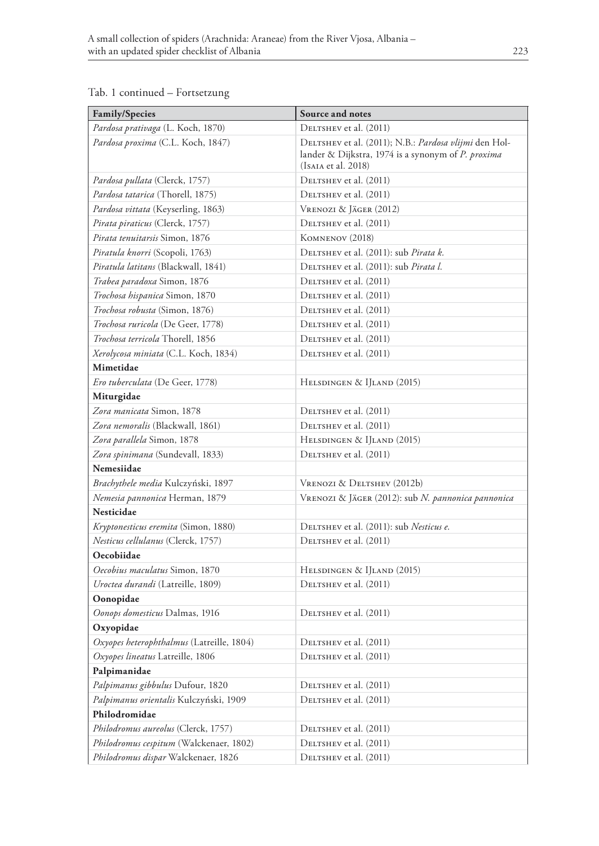| Family/Species                             | Source and notes                                                                                                                   |  |
|--------------------------------------------|------------------------------------------------------------------------------------------------------------------------------------|--|
| Pardosa prativaga (L. Koch, 1870)          | DELTSHEV et al. (2011)                                                                                                             |  |
| Pardosa proxima (C.L. Koch, 1847)          | DELTSHEV et al. (2011); N.B.: Pardosa vlijmi den Hol-<br>lander & Dijkstra, 1974 is a synonym of P. proxima<br>(Isaia et al. 2018) |  |
| Pardosa pullata (Clerck, 1757)             | DELTSHEV et al. (2011)                                                                                                             |  |
| Pardosa tatarica (Thorell, 1875)           | DELTSHEV et al. (2011)                                                                                                             |  |
| Pardosa vittata (Keyserling, 1863)         | Vrenozi & Jäger (2012)                                                                                                             |  |
| Pirata piraticus (Clerck, 1757)            | DELTSHEV et al. (2011)                                                                                                             |  |
| Pirata tenuitarsis Simon, 1876             | KOMNENOV (2018)                                                                                                                    |  |
| Piratula knorri (Scopoli, 1763)            | DELTSHEV et al. (2011): sub Pirata k.                                                                                              |  |
| <i>Piratula latitans</i> (Blackwall, 1841) | DELTSHEV et al. (2011): sub Pirata l.                                                                                              |  |
| Trabea paradoxa Simon, 1876                | DELTSHEV et al. (2011)                                                                                                             |  |
| Trochosa hispanica Simon, 1870             | DELTSHEV et al. (2011)                                                                                                             |  |
| Trochosa robusta (Simon, 1876)             | DELTSHEV et al. (2011)                                                                                                             |  |
| Trochosa ruricola (De Geer, 1778)          | DELTSHEV et al. (2011)                                                                                                             |  |
| Trochosa terricola Thorell, 1856           | DELTSHEV et al. (2011)                                                                                                             |  |
| Xerolycosa miniata (C.L. Koch, 1834)       | DELTSHEV et al. (2011)                                                                                                             |  |
| Mimetidae                                  |                                                                                                                                    |  |
| Ero tuberculata (De Geer, 1778)            | HELSDINGEN & IJLAND (2015)                                                                                                         |  |
| Miturgidae                                 |                                                                                                                                    |  |
| Zora manicata Simon, 1878                  | DELTSHEV et al. (2011)                                                                                                             |  |
| Zora nemoralis (Blackwall, 1861)           | DELTSHEV et al. (2011)                                                                                                             |  |
| Zora parallela Simon, 1878                 | HELSDINGEN & IJLAND (2015)                                                                                                         |  |
| Zora spinimana (Sundevall, 1833)           | DELTSHEV et al. (2011)                                                                                                             |  |
| Nemesiidae                                 |                                                                                                                                    |  |
| Brachythele media Kulczyński, 1897         | VRENOZI & DELTSHEV (2012b)                                                                                                         |  |
| Nemesia pannonica Herman, 1879             | VRENOZI & JÄGER (2012): sub N. pannonica pannonica                                                                                 |  |
| Nesticidae                                 |                                                                                                                                    |  |
| Kryptonesticus eremita (Simon, 1880)       | DELTSHEV et al. (2011): sub Nesticus e.                                                                                            |  |
| <i>Nesticus cellulanus</i> (Clerck, 1757)  | DELTSHEV et al. (2011)                                                                                                             |  |
| Oecobiidae                                 |                                                                                                                                    |  |
| Oecobius maculatus Simon, 1870             | HELSDINGEN & IJLAND (2015)                                                                                                         |  |
| Uroctea durandi (Latreille, 1809)          | DELTSHEV et al. (2011)                                                                                                             |  |
| Oonopidae                                  |                                                                                                                                    |  |
| Oonops domesticus Dalmas, 1916             | DELTSHEV et al. (2011)                                                                                                             |  |
| Oxyopidae                                  |                                                                                                                                    |  |
| Oxyopes heterophthalmus (Latreille, 1804)  | DELTSHEV et al. (2011)                                                                                                             |  |
| Oxyopes lineatus Latreille, 1806           | DELTSHEV et al. (2011)                                                                                                             |  |
| Palpimanidae                               |                                                                                                                                    |  |
| Palpimanus gibbulus Dufour, 1820           | DELTSHEV et al. (2011)                                                                                                             |  |
| Palpimanus orientalis Kulczyński, 1909     | DELTSHEV et al. (2011)                                                                                                             |  |
| Philodromidae                              |                                                                                                                                    |  |
| Philodromus aureolus (Clerck, 1757)        | DELTSHEV et al. (2011)                                                                                                             |  |
| Philodromus cespitum (Walckenaer, 1802)    | DELTSHEV et al. (2011)                                                                                                             |  |
| Philodromus dispar Walckenaer, 1826        | DELTSHEV et al. (2011)                                                                                                             |  |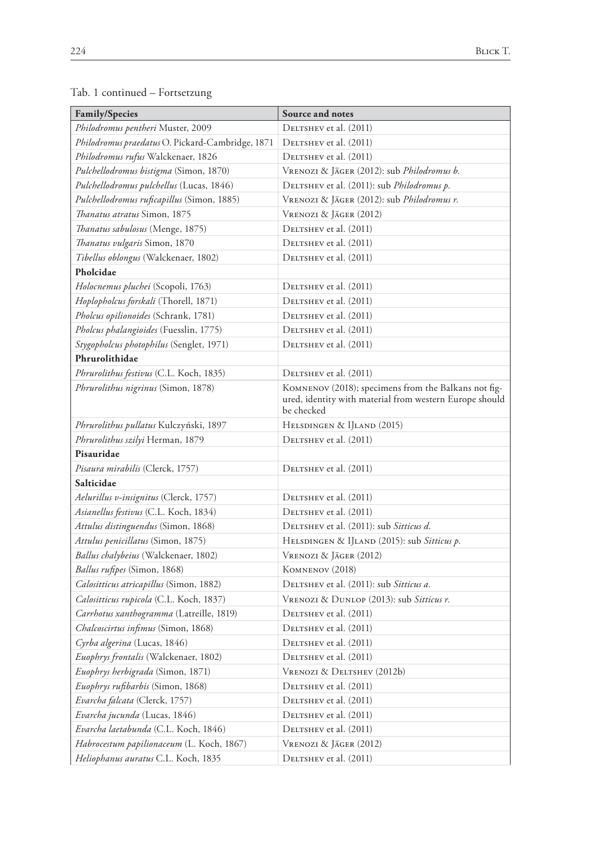| <b>Family/Species</b>                            | Source and notes                                                                                                              |  |
|--------------------------------------------------|-------------------------------------------------------------------------------------------------------------------------------|--|
| Philodromus pentheri Muster, 2009                | DELTSHEV et al. (2011)                                                                                                        |  |
| Philodromus praedatus O. Pickard-Cambridge, 1871 | DELTSHEV et al. (2011)                                                                                                        |  |
| Philodromus rufus Walckenaer, 1826               | DELTSHEV et al. (2011)                                                                                                        |  |
| Pulchellodromus bistigma (Simon, 1870)           | VRENOZI & JÄGER (2012): sub Philodromus b.                                                                                    |  |
| Pulchellodromus pulchellus (Lucas, 1846)         | DELTSHEV et al. (2011): sub Philodromus p.                                                                                    |  |
| Pulchellodromus ruficapillus (Simon, 1885)       | VRENOZI & JÄGER (2012): sub Philodromus r.                                                                                    |  |
| Thanatus atratus Simon, 1875                     | Vrenozi & Jäger (2012)                                                                                                        |  |
| <i>Thanatus sabulosus</i> (Menge, 1875)          | DELTSHEV et al. (2011)                                                                                                        |  |
| Thanatus vulgaris Simon, 1870                    | DELTSHEV et al. (2011)                                                                                                        |  |
| Tibellus oblongus (Walckenaer, 1802)             | DELTSHEV et al. (2011)                                                                                                        |  |
| Pholcidae                                        |                                                                                                                               |  |
| Holocnemus pluchei (Scopoli, 1763)               | DELTSHEV et al. (2011)                                                                                                        |  |
| Hoplopholcus forskali (Thorell, 1871)            | DELTSHEV et al. (2011)                                                                                                        |  |
| Pholcus opilionoides (Schrank, 1781)             | DELTSHEV et al. (2011)                                                                                                        |  |
| Pholcus phalangioides (Fuesslin, 1775)           | DELTSHEV et al. (2011)                                                                                                        |  |
| Stygopholcus photophilus (Senglet, 1971)         | DELTSHEV et al. (2011)                                                                                                        |  |
| Phrurolithidae                                   |                                                                                                                               |  |
| Phrurolithus festivus (C.L. Koch, 1835)          | DELTSHEV et al. (2011)                                                                                                        |  |
| Phrurolithus nigrinus (Simon, 1878)              | KOMNENOV (2018); specimens from the Balkans not fig-<br>ured, identity with material from western Europe should<br>be checked |  |
| Phrurolithus pullatus Kulczyński, 1897           | HELSDINGEN & IJLAND (2015)                                                                                                    |  |
| Phrurolithus szilyi Herman, 1879                 | DELTSHEV et al. (2011)                                                                                                        |  |
| Pisauridae                                       |                                                                                                                               |  |
| <i>Pisaura mirabilis</i> (Clerck, 1757)          | DELTSHEV et al. (2011)                                                                                                        |  |
| Salticidae                                       |                                                                                                                               |  |
| Aelurillus v-insignitus (Clerck, 1757)           | DELTSHEV et al. (2011)                                                                                                        |  |
| Asianellus festivus (C.L. Koch, 1834)            | DELTSHEV et al. (2011)                                                                                                        |  |
| Attulus distinguendus (Simon, 1868)              | DELTSHEV et al. (2011): sub Sitticus d.                                                                                       |  |
| Attulus penicillatus (Simon, 1875)               | HELSDINGEN & IJLAND (2015): sub Sitticus p.                                                                                   |  |
| Ballus chalybeius (Walckenaer, 1802)             | VRENOZI & JÄGER (2012)                                                                                                        |  |
| Ballus rufipes (Simon, 1868)                     | KOMNENOV (2018)                                                                                                               |  |
| Calositticus atricapillus (Simon, 1882)          | DELTSHEV et al. (2011): sub Sitticus a.                                                                                       |  |
| Calositticus rupicola (C.L. Koch, 1837)          | VRENOZI & DUNLOP (2013): sub Sitticus r.                                                                                      |  |
| Carrhotus xanthogramma (Latreille, 1819)         | DELTSHEV et al. (2011)                                                                                                        |  |
| Chalcoscirtus infimus (Simon, 1868)              | DELTSHEV et al. (2011)                                                                                                        |  |
| Cyrba algerina (Lucas, 1846)                     | DELTSHEV et al. (2011)                                                                                                        |  |
| Euophrys frontalis (Walckenaer, 1802)            | DELTSHEV et al. (2011)                                                                                                        |  |
| Euophrys herbigrada (Simon, 1871)                | VRENOZI & DELTSHEV (2012b)                                                                                                    |  |
| Euophrys rufibarbis (Simon, 1868)                | DELTSHEV et al. (2011)                                                                                                        |  |
| Evarcha falcata (Clerck, 1757)                   | DELTSHEV et al. (2011)                                                                                                        |  |
| Evarcha jucunda (Lucas, 1846)                    | DELTSHEV et al. (2011)                                                                                                        |  |
| Evarcha laetabunda (C.L. Koch, 1846)             | DELTSHEV et al. (2011)                                                                                                        |  |
| Habrocestum papilionaceum (L. Koch, 1867)        | VRENOZI & JÄGER (2012)                                                                                                        |  |
| Heliophanus auratus C.L. Koch, 1835              | DELTSHEV et al. (2011)                                                                                                        |  |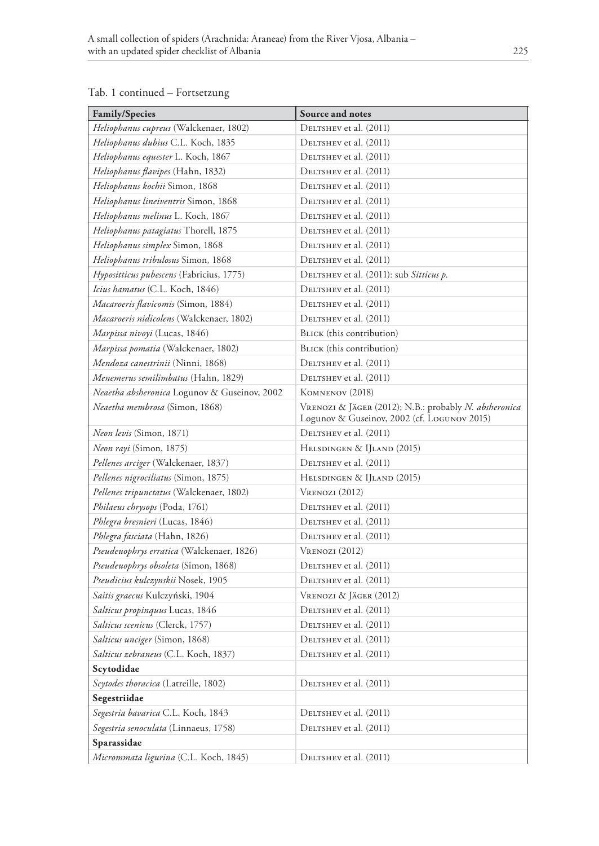| <b>Family/Species</b>                           | Source and notes                                                                                     |  |
|-------------------------------------------------|------------------------------------------------------------------------------------------------------|--|
| Heliophanus cupreus (Walckenaer, 1802)          | DELTSHEV et al. (2011)                                                                               |  |
| Heliophanus dubius C.L. Koch, 1835              | DELTSHEV et al. (2011)                                                                               |  |
| Heliophanus equester L. Koch, 1867              | DELTSHEV et al. (2011)                                                                               |  |
| Heliophanus flavipes (Hahn, 1832)               | DELTSHEV et al. (2011)                                                                               |  |
| Heliophanus kochii Simon, 1868                  | DELTSHEV et al. (2011)                                                                               |  |
| Heliophanus lineiventris Simon, 1868            | DELTSHEV et al. (2011)                                                                               |  |
| Heliophanus melinus L. Koch, 1867               | DELTSHEV et al. (2011)                                                                               |  |
| Heliophanus patagiatus Thorell, 1875            | DELTSHEV et al. (2011)                                                                               |  |
| Heliophanus simplex Simon, 1868                 | DELTSHEV et al. (2011)                                                                               |  |
| Heliophanus tribulosus Simon, 1868              | DELTSHEV et al. (2011)                                                                               |  |
| Hypositticus pubescens (Fabricius, 1775)        | DELTSHEV et al. (2011): sub Sitticus p.                                                              |  |
| <i>Icius hamatus</i> (C.L. Koch, 1846)          | DELTSHEV et al. (2011)                                                                               |  |
| <i>Macaroeris flavicomis (Simon, 1884)</i>      | DELTSHEV et al. (2011)                                                                               |  |
| <i>Macaroeris nidicolens</i> (Walckenaer, 1802) | DELTSHEV et al. (2011)                                                                               |  |
| Marpissa nivoyi (Lucas, 1846)                   | BLICK (this contribution)                                                                            |  |
| Marpissa pomatia (Walckenaer, 1802)             | BLICK (this contribution)                                                                            |  |
| Mendoza canestrinii (Ninni, 1868)               | DELTSHEV et al. (2011)                                                                               |  |
| Menemerus semilimbatus (Hahn, 1829)             | DELTSHEV et al. (2011)                                                                               |  |
| Neaetha absheronica Logunov & Guseinov, 2002    | KOMNENOV (2018)                                                                                      |  |
| Neaetha membrosa (Simon, 1868)                  | VRENOZI & JÄGER (2012); N.B.: probably N. absheronica<br>Logunov & Guseinov, 2002 (cf. Logunov 2015) |  |
| <i>Neon levis</i> (Simon, 1871)                 | DELTSHEV et al. (2011)                                                                               |  |
| Neon rayi (Simon, 1875)                         | HELSDINGEN & IJLAND (2015)                                                                           |  |
| Pellenes arciger (Walckenaer, 1837)             | DELTSHEV et al. (2011)                                                                               |  |
| Pellenes nigrociliatus (Simon, 1875)            | HELSDINGEN & IJLAND (2015)                                                                           |  |
| Pellenes tripunctatus (Walckenaer, 1802)        | $V$ renozi (2012)                                                                                    |  |
| Philaeus chrysops (Poda, 1761)                  | DELTSHEV et al. (2011)                                                                               |  |
| Phlegra bresnieri (Lucas, 1846)                 | DELTSHEV et al. (2011)                                                                               |  |
| Phlegra fasciata (Hahn, 1826)                   | DELTSHEV et al. (2011)                                                                               |  |
| Pseudeuophrys erratica (Walckenaer, 1826)       | $V_{\text{RENOZI}}(2012)$                                                                            |  |
| Pseudeuophrys obsoleta (Simon, 1868)            | DELTSHEV et al. (2011)                                                                               |  |
| Pseudicius kulczynskii Nosek, 1905              | DELTSHEV et al. (2011)                                                                               |  |
| Saitis graecus Kulczyński, 1904                 | VRENOZI & JÄGER (2012)                                                                               |  |
| Salticus propinquus Lucas, 1846                 | DELTSHEV et al. (2011)                                                                               |  |
| Salticus scenicus (Clerck, 1757)                | DELTSHEV et al. (2011)                                                                               |  |
| Salticus unciger (Simon, 1868)                  | DELTSHEV et al. (2011)                                                                               |  |
| <i>Salticus zebraneus</i> (C.L. Koch, 1837)     | DELTSHEV et al. (2011)                                                                               |  |
| Scytodidae                                      |                                                                                                      |  |
| Scytodes thoracica (Latreille, 1802)            | DELTSHEV et al. (2011)                                                                               |  |
| Segestriidae                                    |                                                                                                      |  |
| Segestria bavarica C.L. Koch, 1843              | DELTSHEV et al. (2011)                                                                               |  |
| Segestria senoculata (Linnaeus, 1758)           | DELTSHEV et al. (2011)                                                                               |  |
| Sparassidae                                     |                                                                                                      |  |
| Micrommata ligurina (C.L. Koch, 1845)           | DELTSHEV et al. (2011)                                                                               |  |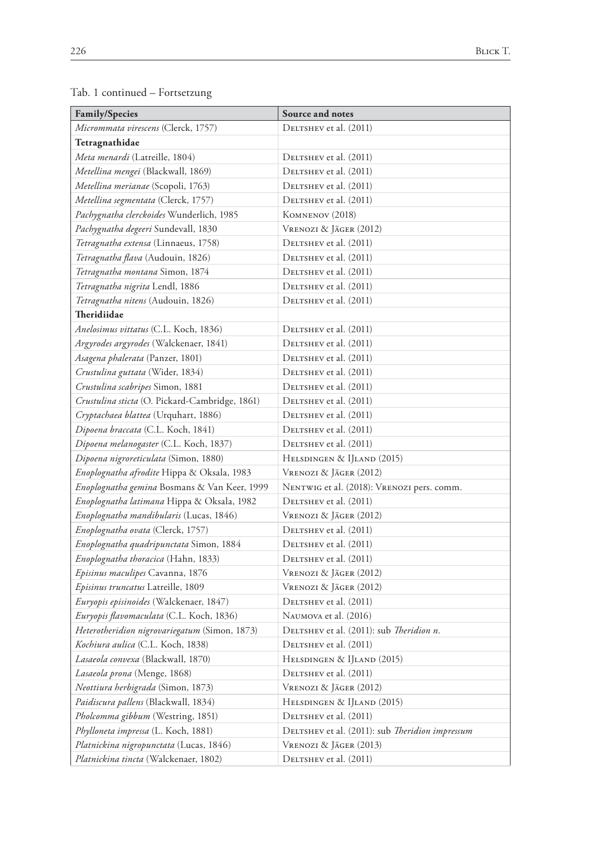| <b>Family/Species</b>                          | Source and notes                                |  |
|------------------------------------------------|-------------------------------------------------|--|
| <i>Micrommata virescens (Clerck, 1757)</i>     | DELTSHEV et al. (2011)                          |  |
| Tetragnathidae                                 |                                                 |  |
| <i>Meta menardi</i> (Latreille, 1804)          | DELTSHEV et al. (2011)                          |  |
| Metellina mengei (Blackwall, 1869)             | DELTSHEV et al. (2011)                          |  |
| Metellina merianae (Scopoli, 1763)             | DELTSHEV et al. (2011)                          |  |
| Metellina segmentata (Clerck, 1757)            | DELTSHEV et al. (2011)                          |  |
| Pachygnatha clerckoides Wunderlich, 1985       | KOMNENOV (2018)                                 |  |
| Pachygnatha degeeri Sundevall, 1830            | Vrenozi & Jäger (2012)                          |  |
| Tetragnatha extensa (Linnaeus, 1758)           | DELTSHEV et al. (2011)                          |  |
| Tetragnatha flava (Audouin, 1826)              | DELTSHEV et al. (2011)                          |  |
| Tetragnatha montana Simon, 1874                | DELTSHEV et al. (2011)                          |  |
| Tetragnatha nigrita Lendl, 1886                | DELTSHEV et al. (2011)                          |  |
| Tetragnatha nitens (Audouin, 1826)             | DELTSHEV et al. (2011)                          |  |
| Theridiidae                                    |                                                 |  |
| Anelosimus vittatus (C.L. Koch, 1836)          | DELTSHEV et al. (2011)                          |  |
| Argyrodes argyrodes (Walckenaer, 1841)         | DELTSHEV et al. (2011)                          |  |
| Asagena phalerata (Panzer, 1801)               | DELTSHEV et al. (2011)                          |  |
| Crustulina guttata (Wider, 1834)               | DELTSHEV et al. (2011)                          |  |
| Crustulina scabripes Simon, 1881               | DELTSHEV et al. (2011)                          |  |
| Crustulina sticta (O. Pickard-Cambridge, 1861) | DELTSHEV et al. (2011)                          |  |
| Cryptachaea blattea (Urquhart, 1886)           | DELTSHEV et al. (2011)                          |  |
| Dipoena braccata (C.L. Koch, 1841)             | DELTSHEV et al. (2011)                          |  |
| Dipoena melanogaster (C.L. Koch, 1837)         | DELTSHEV et al. (2011)                          |  |
| Dipoena nigroreticulata (Simon, 1880)          | HELSDINGEN & IJLAND (2015)                      |  |
| Enoplognatha afrodite Hippa & Oksala, 1983     | VRENOZI & JÄGER (2012)                          |  |
| Enoplognatha gemina Bosmans & Van Keer, 1999   | NENTWIG et al. (2018): VRENOZI pers. comm.      |  |
| Enoplognatha latimana Hippa & Oksala, 1982     | DELTSHEV et al. (2011)                          |  |
| Enoplognatha mandibularis (Lucas, 1846)        | Vrenozi & Jäger (2012)                          |  |
| Enoplognatha ovata (Clerck, 1757)              | DELTSHEV et al. (2011)                          |  |
| Enoplognatha quadripunctata Simon, 1884        | DELTSHEV et al. (2011)                          |  |
| Enoplognatha thoracica (Hahn, 1833)            | DELTSHEV et al. (2011)                          |  |
| Episinus maculipes Cavanna, 1876               | VRENOZI & JÄGER (2012)                          |  |
| Episinus truncatus Latreille, 1809             | Vrenozi & Jäger (2012)                          |  |
| Euryopis episinoides (Walckenaer, 1847)        | DELTSHEV et al. (2011)                          |  |
| Euryopis flavomaculata (C.L. Koch, 1836)       | NAUMOVA et al. (2016)                           |  |
| Heterotheridion nigrovariegatum (Simon, 1873)  | DELTSHEV et al. (2011): sub <i>Theridion n.</i> |  |
| Kochiura aulica (C.L. Koch, 1838)              | DELTSHEV et al. (2011)                          |  |
| Lasaeola convexa (Blackwall, 1870)             | HELSDINGEN & IJLAND (2015)                      |  |
| Lasaeola prona (Menge, 1868)                   | DELTSHEV et al. (2011)                          |  |
| Neottiura herbigrada (Simon, 1873)             | VRENOZI & JÄGER (2012)                          |  |
| Paidiscura pallens (Blackwall, 1834)           | HELSDINGEN & IJLAND (2015)                      |  |
| Pholcomma gibbum (Westring, 1851)              | DELTSHEV et al. (2011)                          |  |
| <i>Phylloneta impressa</i> (L. Koch, 1881)     | DELTSHEV et al. (2011): sub Theridion impressum |  |
| Platnickina nigropunctata (Lucas, 1846)        | Vrenozi & Jäger (2013)                          |  |
| Platnickina tincta (Walckenaer, 1802)          | DELTSHEV et al. (2011)                          |  |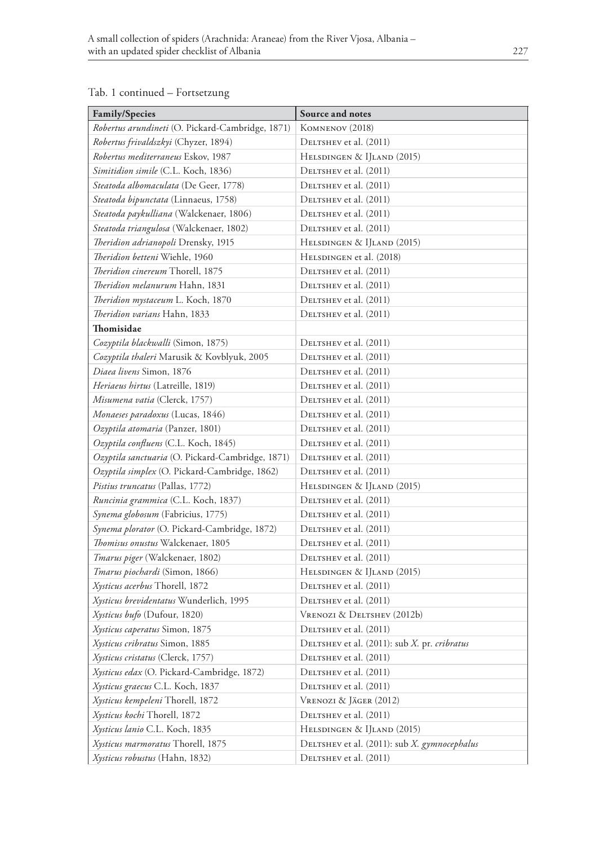#### **Family/Species Source and notes** *Robertus arundineti* (O. Pickard-Cambridge, 1871) Komnenov (2018) *Robertus frivaldszkyi* (Chyzer, 1894) DELTSHEV et al. (2011) *Robertus mediterraneus* Eskov, 1987 HELSDINGEN & IJLAND (2015) *Simitidion simile* (C.L. Koch, 1836) DELTSHEV et al. (2011) *Steatoda albomaculata* (De Geer, 1778) DELTSHEV et al. (2011) *Steatoda bipunctata* (Linnaeus, 1758) DELTSHEV et al. (2011) *Steatoda paykulliana* (Walckenaer, 1806) DELTSHEV et al. (2011) *Steatoda triangulosa* (Walckenaer, 1802) DELTSHEV et al. (2011) *Theridion adrianopoli* Drensky, 1915 HELSDINGEN & IJLAND (2015) *Theridion betteni* Wiehle, 1960 HELSDINGEN et al. (2018) *Theridion cinereum* Thorell, 1875 DELTSHEV et al. (2011) *Theridion melanurum* Hahn, 1831 DELTSHEV et al. (2011) *Theridion mystaceum L. Koch, 1870* DELTSHEV et al. (2011) *Theridion varians* Hahn, 1833 DELTSHEV et al. (2011) **Thomisidae** *Cozyptila blackwalli* (Simon, 1875) DELTSHEV et al. (2011) *Cozyptila thaleri* Marusik & Kovblyuk, 2005 DELTSHEV et al. (2011) *Diaea livens* Simon, 1876 DELTSHEV et al. (2011) *Heriaeus hirtus* (Latreille, 1819) DELTSHEV et al. (2011) *Misumena vatia* (Clerck, 1757) DELTSHEV et al. (2011) *Monaeses paradoxus* (Lucas, 1846) DELTSHEV et al. (2011) *Ozyptila atomaria* (Panzer, 1801) DELTSHEV et al. (2011) *Ozyptila confluens* (C.L. Koch, 1845) DELTSHEV et al. (2011) *Ozyptila sanctuaria* (O. Pickard-Cambridge, 1871) DELTSHEV et al. (2011) *Ozyptila simplex* (O. Pickard-Cambridge, 1862) DELTSHEV et al. (2011) *Pistius truncatus* (Pallas, 1772) HELSDINGEN & IJLAND (2015) *Runcinia grammica* (C.L. Koch, 1837) DELTSHEV et al. (2011) *Synema globosum* (Fabricius, 1775) DELTSHEV et al. (2011) *Synema plorator* (O. Pickard-Cambridge, 1872) DELTSHEV et al. (2011) *Thomisus onustus* Walckenaer, 1805 Deltshev et al. (2011) *Tmarus piger* (Walckenaer, 1802) DELTSHEV et al. (2011) *Tmarus piochardi* (Simon, 1866) HELSDINGEN & IJLAND (2015) *Xysticus acerbus* Thorell, 1872 DELTSHEV et al. (2011) *Xysticus brevidentatus* Wunderlich, 1995 DELTSHEV et al. (2011) *Xysticus bufo* (Dufour, 1820) VRENOZI & DELTSHEV (2012b) *Xysticus caperatus* Simon, 1875 DELTSHEV et al. (2011) *Xysticus cribratus* Simon, 1885 Deltshev et al. (2011): sub *X.* pr. *cribratus Xysticus cristatus* (Clerck, 1757) DELTSHEV et al. (2011) *Xysticus edax* (O. Pickard-Cambridge, 1872) DELTSHEV et al. (2011) *Xysticus graecus* C.L. Koch, 1837 DELTSHEV et al. (2011) *Xysticus kempeleni* Thorell, 1872 Vrenozi & Jäger (2012) *Xysticus kochi* Thorell, 1872 DELTSHEV et al. (2011) *Xysticus lanio* C.L. Koch, 1835 HELSDINGEN & IJLAND (2015) *Xysticus marmoratus* Thorell, 1875 Deltshev et al. (2011): sub *X. gymnocephalus*

*Xysticus robustus* (Hahn, 1832) DELTSHEV et al. (2011)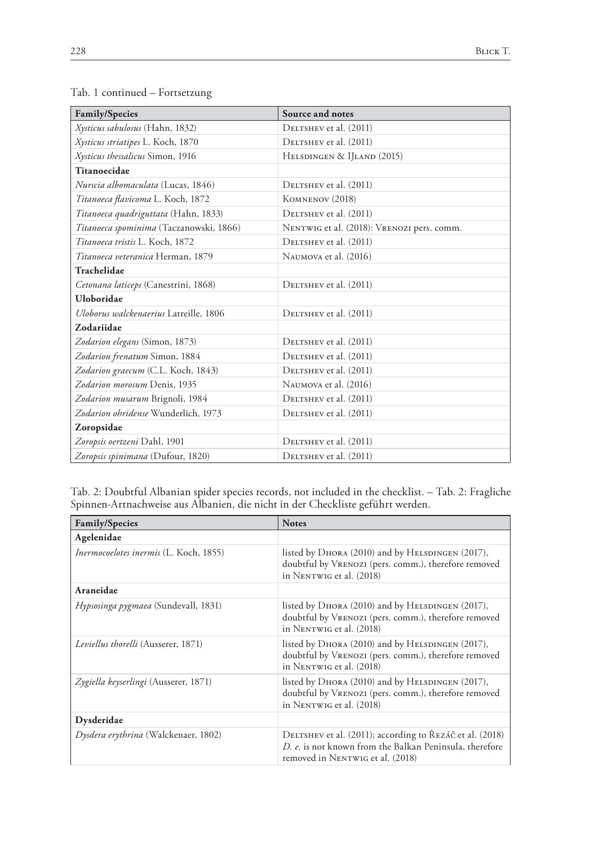| <b>Family/Species</b>                   | Source and notes                           |
|-----------------------------------------|--------------------------------------------|
| Xysticus sabulosus (Hahn, 1832)         | DELTSHEV et al. (2011)                     |
| Xysticus striatipes L. Koch, 1870       | DELTSHEV et al. (2011)                     |
| Xysticus thessalicus Simon, 1916        | HELSDINGEN & IJLAND (2015)                 |
| Titanoecidae                            |                                            |
| Nurscia albomaculata (Lucas, 1846)      | DELTSHEV et al. (2011)                     |
| Titanoeca flavicoma L. Koch, 1872       | KOMNENOV (2018)                            |
| Titanoeca quadriguttata (Hahn, 1833)    | DELTSHEV et al. (2011)                     |
| Titanoeca spominima (Taczanowski, 1866) | NENTWIG et al. (2018): VRENOZI pers. comm. |
| Titanoeca tristis L. Koch, 1872         | DELTSHEV et al. (2011)                     |
| Titanoeca veteranica Herman, 1879       | NAUMOVA et al. (2016)                      |
| Trachelidae                             |                                            |
| Cetonana laticeps (Canestrini, 1868)    | DELTSHEV et al. (2011)                     |
| Uloboridae                              |                                            |
| Uloborus walckenaerius Latreille, 1806  | DELTSHEV et al. (2011)                     |
| Zodariidae                              |                                            |
| Zodarion elegans (Simon, 1873)          | DELTSHEV et al. (2011)                     |
| Zodarion frenatum Simon, 1884           | DELTSHEV et al. (2011)                     |
| Zodarion graecum (C.L. Koch, 1843)      | DELTSHEV et al. (2011)                     |
| Zodarion morosum Denis, 1935            | NAUMOVA et al. (2016)                      |
| Zodarion musarum Brignoli, 1984         | DELTSHEV et al. (2011)                     |
| Zodarion ohridense Wunderlich, 1973     | DELTSHEV et al. (2011)                     |
| Zoropsidae                              |                                            |
| Zoropsis oertzeni Dahl, 1901            | DELTSHEV et al. (2011)                     |
| Zoropsis spinimana (Dufour, 1820)       | DELTSHEV et al. (2011)                     |

Tab. 2: Doubtful Albanian spider species records, not included in the checklist. – Tab. 2: Fragliche Spinnen-Artnachweise aus Albanien, die nicht in der Checkliste geführt werden.

| <b>Family/Species</b>                      | <b>Notes</b>                                                                                                                                            |
|--------------------------------------------|---------------------------------------------------------------------------------------------------------------------------------------------------------|
| Agelenidae                                 |                                                                                                                                                         |
| Inermocoelotes inermis (L. Koch, 1855)     | listed by $D_{HORA}$ (2010) and by $H_{ELSDINGEN}$ (2017),<br>doubtful by VRENOZI (pers. comm.), therefore removed<br>in NENTWIG et al. (2018)          |
| Araneidae                                  |                                                                                                                                                         |
| Hypsosinga pygmaea (Sundevall, 1831)       | listed by $D_{HORA}$ (2010) and by $H_{ELSDINGEN}$ (2017),<br>doubtful by VRENOZI (pers. comm.), therefore removed<br>in NENTWIG et al. (2018)          |
| <i>Leviellus thorelli</i> (Ausserer, 1871) | listed by DHORA (2010) and by HELSDINGEN (2017),<br>doubtful by VRENOZI (pers. comm.), therefore removed<br>in NENTWIG et al. (2018)                    |
| Zygiella keyserlingi (Ausserer, 1871)      | listed by DHORA (2010) and by HELSDINGEN (2017),<br>doubtful by VRENOZI (pers. comm.), therefore removed<br>in NENTWIG et al. (2018)                    |
| Dysderidae                                 |                                                                                                                                                         |
| Dysdera erythrina (Walckenaer, 1802)       | DELTSHEV et al. (2011); according to ŘEZÁČ et al. (2018)<br>D. e. is not known from the Balkan Peninsula, therefore<br>removed in NENTWIG et al. (2018) |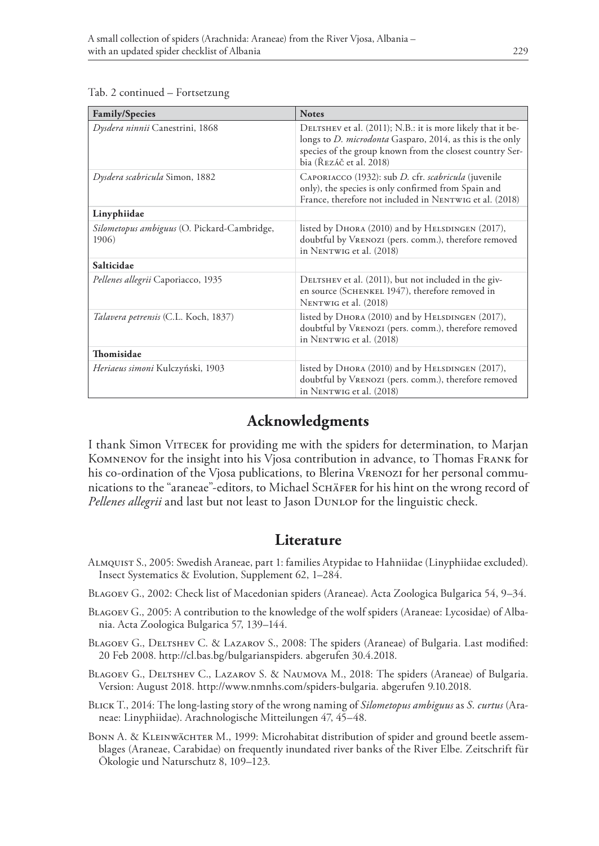| Tab. 2 continued - Fortsetzung |
|--------------------------------|
|                                |

| <b>Family/Species</b>                                | <b>Notes</b>                                                                                                                                                                                                           |
|------------------------------------------------------|------------------------------------------------------------------------------------------------------------------------------------------------------------------------------------------------------------------------|
| Dysdera ninnii Canestrini, 1868                      | DELTSHEV et al. (2011); N.B.: it is more likely that it be-<br>longs to <i>D. microdonta</i> Gasparo, 2014, as this is the only<br>species of the group known from the closest country Ser-<br>bia (Řezáč et al. 2018) |
| Dysdera scabricula Simon, 1882                       | CAPORIACCO (1932): sub D. cfr. scabricula (juvenile<br>only), the species is only confirmed from Spain and<br>France, therefore not included in NENTWIG et al. (2018)                                                  |
| Linyphiidae                                          |                                                                                                                                                                                                                        |
| Silometopus ambiguus (O. Pickard-Cambridge,<br>1906) | listed by DHORA (2010) and by HELSDINGEN (2017),<br>doubtful by VRENOZI (pers. comm.), therefore removed<br>in NENTWIG et al. (2018)                                                                                   |
| Salticidae                                           |                                                                                                                                                                                                                        |
| Pellenes allegrii Caporiacco, 1935                   | DELTSHEV et al. (2011), but not included in the giv-<br>en source (SCHENKEL 1947), therefore removed in<br>NENTWIG et al. (2018)                                                                                       |
| Talavera petrensis (C.L. Koch, 1837)                 | listed by DHORA (2010) and by HELSDINGEN (2017),<br>doubtful by VRENOZI (pers. comm.), therefore removed<br>in NENTWIG et al. (2018)                                                                                   |
| Thomisidae                                           |                                                                                                                                                                                                                        |
| <i>Heriaeus simoni</i> Kulczyński, 1903              | listed by DHORA (2010) and by HELSDINGEN (2017),<br>doubtful by VRENOZI (pers. comm.), therefore removed<br>in NENTWIG et al. (2018)                                                                                   |

### **Acknowledgments**

I thank Simon Vitecek for providing me with the spiders for determination, to Marjan Komnenov for the insight into his Vjosa contribution in advance, to Thomas Frank for his co-ordination of the Vjosa publications, to Blerina VRENOZI for her personal communications to the "araneae"-editors, to Michael SCHÄFER for his hint on the wrong record of *Pellenes allegrii* and last but not least to Jason Dunlop for the linguistic check.

#### **Literature**

- Almquist S., 2005: Swedish Araneae, part 1: families Atypidae to Hahniidae (Linyphiidae excluded). Insect Systematics & Evolution, Supplement 62, 1–284.
- Blagoev G., 2002: Check list of Macedonian spiders (Araneae). Acta Zoologica Bulgarica 54, 9–34.
- Blagoev G., 2005: A contribution to the knowledge of the wolf spiders (Araneae: Lycosidae) of Albania. Acta Zoologica Bulgarica 57, 139–144.
- BLAGOEV G., DELTSHEV C. & LAZAROV S., 2008: The spiders (Araneae) of Bulgaria. Last modified: 20 Feb 2008. http://cl.bas.bg/bulgarianspiders. abgerufen 30.4.2018.
- Blagoev G., Deltshev C., Lazarov S. & Naumova M., 2018: The spiders (Araneae) of Bulgaria. Version: August 2018. http://www.nmnhs.com/spiders-bulgaria. abgerufen 9.10.2018.
- Blick T., 2014: The long-lasting story of the wrong naming of *Silometopus ambiguus* as *S. curtus* (Araneae: Linyphiidae). Arachnologische Mitteilungen 47, 45–48.
- BONN A. & KLEINWÄCHTER M., 1999: Microhabitat distribution of spider and ground beetle assemblages (Araneae, Carabidae) on frequently inundated river banks of the River Elbe. Zeitschrift für Ökologie und Naturschutz 8, 109–123.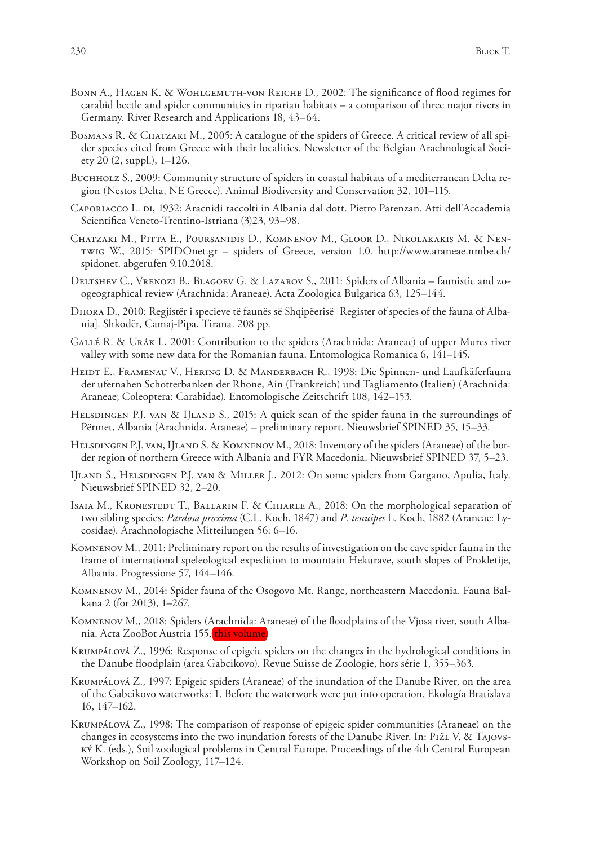- Bonn A., Hagen K. & Wohlgemuth-von Reiche D., 2002: The significance of flood regimes for carabid beetle and spider communities in riparian habitats – a comparison of three major rivers in Germany. River Research and Applications 18, 43–64.
- BOSMANS R. & CHATZAKI M., 2005: A catalogue of the spiders of Greece. A critical review of all spider species cited from Greece with their localities. Newsletter of the Belgian Arachnological Society 20 (2, suppl.), 1–126.
- Buchholz S., 2009: Community structure of spiders in coastal habitats of a mediterranean Delta region (Nestos Delta, NE Greece). Animal Biodiversity and Conservation 32, 101–115.
- CAPORIACCO L. DI, 1932: Aracnidi raccolti in Albania dal dott. Pietro Parenzan. Atti dell'Accademia Scientifica Veneto-Trentino-Istriana (3)23, 93–98.
- Chatzaki M., Pitta E., Poursanidis D., Komnenov M., Gloor D., Nikolakakis M. & Nentwig W., 2015: SPIDOnet.gr – spiders of Greece, version 1.0. http://www.araneae.nmbe.ch/ spidonet. abgerufen 9.10.2018.
- Deltshev C., Vrenozi B., Blagoev G. & Lazarov S., 2011: Spiders of Albania faunistic and zoogeographical review (Arachnida: Araneae). Acta Zoologica Bulgarica 63, 125–144.
- Dhora D., 2010: Regjistër i specieve të faunës së Shqipëerisë [Register of species of the fauna of Albania]. Shkodër, Camaj-Pipa, Tirana. 208 pp.
- Gallé R. & Urák I., 2001: Contribution to the spiders (Arachnida: Araneae) of upper Mures river valley with some new data for the Romanian fauna. Entomologica Romanica 6, 141–145.
- HEIDT E., FRAMENAU V., HERING D. & MANDERBACH R., 1998: Die Spinnen- und Laufkäferfauna der ufernahen Schotterbanken der Rhone, Ain (Frankreich) und Tagliamento (Italien) (Arachnida: Araneae; Coleoptera: Carabidae). Entomologische Zeitschrift 108, 142–153.
- HELSDINGEN P.J. VAN & IJLAND S., 2015: A quick scan of the spider fauna in the surroundings of Përmet, Albania (Arachnida, Araneae) – preliminary report. Nieuwsbrief SPINED 35, 15–33.
- HELSDINGEN P.J. VAN, IJLAND S. & KOMNENOV M., 2018: Inventory of the spiders (Araneae) of the border region of northern Greece with Albania and FYR Macedonia. Nieuwsbrief SPINED 37, 5–23.
- IJland S., Helsdingen P.J. van & Miller J., 2012: On some spiders from Gargano, Apulia, Italy. Nieuwsbrief SPINED 32, 2–20.
- ISAIA M., KRONESTEDT T., BALLARIN F. & CHIARLE A., 2018: On the morphological separation of two sibling species: *Pardosa proxima* (C.L. Koch, 1847) and *P. tenuipes* L. Koch, 1882 (Araneae: Lycosidae). Arachnologische Mitteilungen 56: 6–16.
- Komnenov M., 2011: Preliminary report on the results of investigation on the cave spider fauna in the frame of international speleological expedition to mountain Hekurave, south slopes of Prokletije, Albania. Progressione 57, 144–146.
- Komnenov M., 2014: Spider fauna of the Osogovo Mt. Range, northeastern Macedonia. Fauna Balkana 2 (for 2013), 1–267.
- Komnenov M., 2018: Spiders (Arachnida: Araneae) of the floodplains of the Vjosa river, south Albania. Acta ZooBot Austria 155, <mark>this volum</mark>
- Krumpálová Z., 1996: Response of epigeic spiders on the changes in the hydrological conditions in the Danube floodplain (area Gabcikovo). Revue Suisse de Zoologie, hors série 1, 355–363.
- Krumpálová Z., 1997: Epigeic spiders (Araneae) of the inundation of the Danube River, on the area of the Gabcikovo waterworks: 1. Before the waterwork were put into operation. Ekología Bratislava 16, 147–162.
- Krumpálová Z., 1998: The comparison of response of epigeic spider communities (Araneae) on the changes in ecosystems into the two inundation forests of the Danube River. In: Pižl V. & Tajovský K. (eds.), Soil zoological problems in Central Europe. Proceedings of the 4th Central European Workshop on Soil Zoology, 117–124.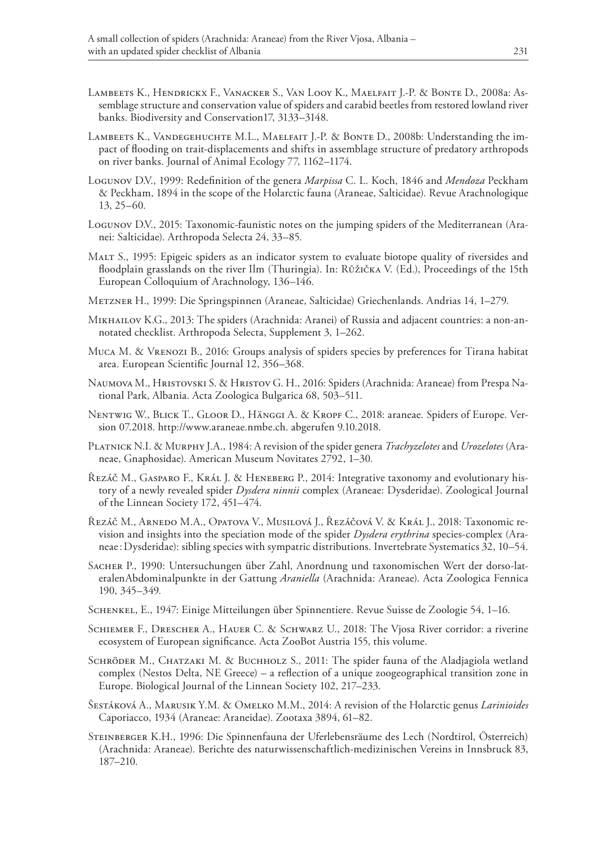- Lambeets K., Hendrickx F., Vanacker S., Van Looy K., Maelfait J.-P. & Bonte D., 2008a: Assemblage structure and conservation value of spiders and carabid beetles from restored lowland river banks. Biodiversity and Conservation17, 3133–3148.
- LAMBEETS K., VANDEGEHUCHTE M.L., MAELFAIT J.-P. & BONTE D., 2008b: Understanding the impact of flooding on trait-displacements and shifts in assemblage structure of predatory arthropods on river banks. Journal of Animal Ecology 77, 1162–1174.
- Logunov D.V., 1999: Redefinition of the genera *Marpissa* C. L. Koch, 1846 and *Mendoza* Peckham & Peckham, 1894 in the scope of the Holarctic fauna (Araneae, Salticidae). Revue Arachnologique 13, 25–60.
- Logunov D.V., 2015: Taxonomic-faunistic notes on the jumping spiders of the Mediterranean (Aranei: Salticidae). Arthropoda Selecta 24, 33–85.
- Malt S., 1995: Epigeic spiders as an indicator system to evaluate biotope quality of riversides and floodplain grasslands on the river Ilm (Thuringia). In: Růžička V. (Ed.), Proceedings of the 15th European Colloquium of Arachnology, 136–146.
- Metzner H., 1999: Die Springspinnen (Araneae, Salticidae) Griechenlands. Andrias 14, 1–279.
- Mikhailov K.G., 2013: The spiders (Arachnida: Aranei) of Russia and adjacent countries: a non-annotated checklist. Arthropoda Selecta, Supplement 3, 1–262.
- Muca M. & Vrenozi B., 2016: Groups analysis of spiders species by preferences for Tirana habitat area. European Scientific Journal 12, 356–368.
- Naumova M., Hristovski S. & Hristov G. H., 2016: Spiders (Arachnida: Araneae) from Prespa National Park, Albania. Acta Zoologica Bulgarica 68, 503–511.
- Nentwig W., Blick T., Gloor D., Hänggi A. & Kropf C., 2018: araneae. Spiders of Europe. Version 07.2018. http://www.araneae.nmbe.ch. abgerufen 9.10.2018.
- Platnick N.I. & Murphy J.A., 1984: A revision of the spider genera *Trachyzelotes* and *Urozelotes* (Araneae, Gnaphosidae). American Museum Novitates 2792, 1–30.
- Řezáč M., Gasparo F., Král J. & Heneberg P., 2014: Integrative taxonomy and evolutionary history of a newly revealed spider *Dysdera ninnii* complex (Araneae: Dysderidae). Zoological Journal of the Linnean Society 172, 451–474.
- Řezáč M., Arnedo M.A., Opatova V., Musilová J., Řezáčová V. & Král J., 2018: Taxonomic revision and insights into the speciation mode of the spider *Dysdera erythrina* species-complex (Araneae:Dysderidae): sibling species with sympatric distributions. Invertebrate Systematics 32, 10–54.
- Sacher P., 1990: Untersuchungen über Zahl, Anordnung und taxonomischen Wert der dorso-lateralenAbdominalpunkte in der Gattung *Araniella* (Arachnida: Araneae). Acta Zoologica Fennica 190, 345–349.
- Schenkel, E., 1947: Einige Mitteilungen über Spinnentiere. Revue Suisse de Zoologie 54, 1–16.
- Schiemer F., Drescher A., Hauer C. & Schwarz U., 2018: The Vjosa River corridor: a riverine ecosystem of European significance. Acta ZooBot Austria 155, this volume.
- SCHRÖDER M., CHATZAKI M. & BUCHHOLZ S., 2011: The spider fauna of the Aladjagiola wetland complex (Nestos Delta, NE Greece) – a reflection of a unique zoogeographical transition zone in Europe. Biological Journal of the Linnean Society 102, 217–233.
- Šestáková A., Marusik Y.M. & Omelko M.M., 2014: A revision of the Holarctic genus *Larinioides* Caporiacco, 1934 (Araneae: Araneidae). Zootaxa 3894, 61–82.
- Steinberger K.H., 1996: Die Spinnenfauna der Uferlebensräume des Lech (Nordtirol, Österreich) (Arachnida: Araneae). Berichte des naturwissenschaftlich-medizinischen Vereins in Innsbruck 83, 187–210.